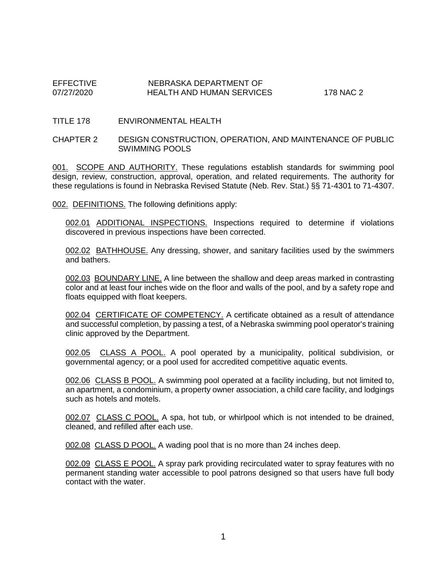## EFFECTIVE NEBRASKA DEPARTMENT OF NEBRASKA DEPARTMENT OF HEALTH AND HUMAN SERVICES 178 NAC 2

#### TITLE 178 ENVIRONMENTAL HEALTH

### CHAPTER 2 DESIGN CONSTRUCTION, OPERATION, AND MAINTENANCE OF PUBLIC SWIMMING POOLS

001. SCOPE AND AUTHORITY. These regulations establish standards for swimming pool design, review, construction, approval, operation, and related requirements. The authority for these regulations is found in Nebraska Revised Statute (Neb. Rev. Stat.) §§ 71-4301 to 71-4307.

002. DEFINITIONS. The following definitions apply:

002.01 ADDITIONAL INSPECTIONS. Inspections required to determine if violations discovered in previous inspections have been corrected.

002.02 BATHHOUSE. Any dressing, shower, and sanitary facilities used by the swimmers and bathers.

002.03 BOUNDARY LINE. A line between the shallow and deep areas marked in contrasting color and at least four inches wide on the floor and walls of the pool, and by a safety rope and floats equipped with float keepers.

002.04 CERTIFICATE OF COMPETENCY. A certificate obtained as a result of attendance and successful completion, by passing a test, of a Nebraska swimming pool operator's training clinic approved by the Department.

002.05 CLASS A POOL. A pool operated by a municipality, political subdivision, or governmental agency; or a pool used for accredited competitive aquatic events.

002.06 CLASS B POOL. A swimming pool operated at a facility including, but not limited to, an apartment, a condominium, a property owner association, a child care facility, and lodgings such as hotels and motels.

002.07 CLASS C POOL. A spa, hot tub, or whirlpool which is not intended to be drained, cleaned, and refilled after each use.

002.08 CLASS D POOL. A wading pool that is no more than 24 inches deep.

002.09 CLASS E POOL. A spray park providing recirculated water to spray features with no permanent standing water accessible to pool patrons designed so that users have full body contact with the water.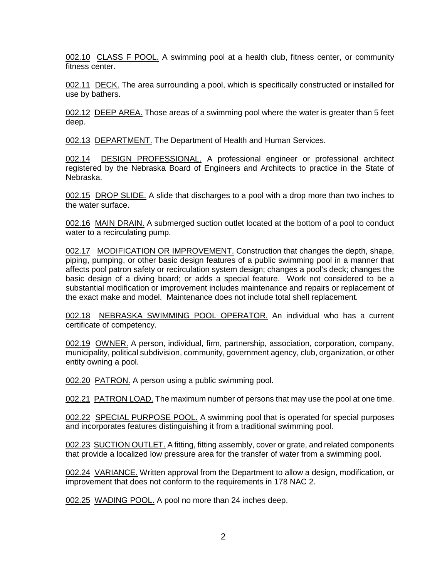002.10 CLASS F POOL. A swimming pool at a health club, fitness center, or community fitness center.

002.11 DECK. The area surrounding a pool, which is specifically constructed or installed for use by bathers.

002.12 DEEP AREA. Those areas of a swimming pool where the water is greater than 5 feet deep.

002.13 DEPARTMENT. The Department of Health and Human Services.

002.14 DESIGN PROFESSIONAL. A professional engineer or professional architect registered by the Nebraska Board of Engineers and Architects to practice in the State of Nebraska.

002.15 DROP SLIDE. A slide that discharges to a pool with a drop more than two inches to the water surface.

002.16 MAIN DRAIN. A submerged suction outlet located at the bottom of a pool to conduct water to a recirculating pump.

002.17 MODIFICATION OR IMPROVEMENT. Construction that changes the depth, shape, piping, pumping, or other basic design features of a public swimming pool in a manner that affects pool patron safety or recirculation system design; changes a pool's deck; changes the basic design of a diving board; or adds a special feature. Work not considered to be a substantial modification or improvement includes maintenance and repairs or replacement of the exact make and model. Maintenance does not include total shell replacement.

002.18 NEBRASKA SWIMMING POOL OPERATOR. An individual who has a current certificate of competency.

002.19 OWNER. A person, individual, firm, partnership, association, corporation, company, municipality, political subdivision, community, government agency, club, organization, or other entity owning a pool.

002.20 PATRON. A person using a public swimming pool.

002.21 PATRON LOAD. The maximum number of persons that may use the pool at one time.

002.22 SPECIAL PURPOSE POOL. A swimming pool that is operated for special purposes and incorporates features distinguishing it from a traditional swimming pool.

002.23 SUCTION OUTLET. A fitting, fitting assembly, cover or grate, and related components that provide a localized low pressure area for the transfer of water from a swimming pool.

002.24 VARIANCE. Written approval from the Department to allow a design, modification, or improvement that does not conform to the requirements in 178 NAC 2.

002.25 WADING POOL. A pool no more than 24 inches deep.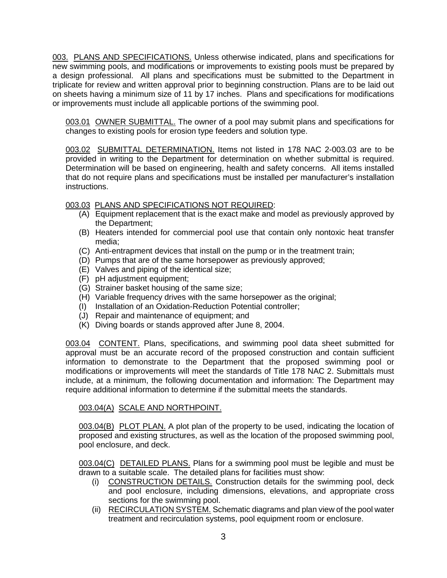003. PLANS AND SPECIFICATIONS. Unless otherwise indicated, plans and specifications for new swimming pools, and modifications or improvements to existing pools must be prepared by a design professional. All plans and specifications must be submitted to the Department in triplicate for review and written approval prior to beginning construction. Plans are to be laid out on sheets having a minimum size of 11 by 17 inches. Plans and specifications for modifications or improvements must include all applicable portions of the swimming pool.

003.01 OWNER SUBMITTAL. The owner of a pool may submit plans and specifications for changes to existing pools for erosion type feeders and solution type.

003.02 SUBMITTAL DETERMINATION. Items not listed in 178 NAC 2-003.03 are to be provided in writing to the Department for determination on whether submittal is required. Determination will be based on engineering, health and safety concerns. All items installed that do not require plans and specifications must be installed per manufacturer's installation instructions.

# 003.03 PLANS AND SPECIFICATIONS NOT REQUIRED:

- (A) Equipment replacement that is the exact make and model as previously approved by the Department;
- (B) Heaters intended for commercial pool use that contain only nontoxic heat transfer media;
- (C) Anti-entrapment devices that install on the pump or in the treatment train;
- (D) Pumps that are of the same horsepower as previously approved;
- (E) Valves and piping of the identical size;
- (F) pH adjustment equipment;
- (G) Strainer basket housing of the same size;
- (H) Variable frequency drives with the same horsepower as the original;
- (I) Installation of an Oxidation-Reduction Potential controller;
- (J) Repair and maintenance of equipment; and
- (K) Diving boards or stands approved after June 8, 2004.

003.04 CONTENT. Plans, specifications, and swimming pool data sheet submitted for approval must be an accurate record of the proposed construction and contain sufficient information to demonstrate to the Department that the proposed swimming pool or modifications or improvements will meet the standards of Title 178 NAC 2. Submittals must include, at a minimum, the following documentation and information: The Department may require additional information to determine if the submittal meets the standards.

## 003.04(A) SCALE AND NORTHPOINT.

003.04(B) PLOT PLAN. A plot plan of the property to be used, indicating the location of proposed and existing structures, as well as the location of the proposed swimming pool, pool enclosure, and deck.

003.04(C) DETAILED PLANS. Plans for a swimming pool must be legible and must be drawn to a suitable scale. The detailed plans for facilities must show:

- (i) CONSTRUCTION DETAILS. Construction details for the swimming pool, deck and pool enclosure, including dimensions, elevations, and appropriate cross sections for the swimming pool.
- (ii) RECIRCULATION SYSTEM. Schematic diagrams and plan view of the pool water treatment and recirculation systems, pool equipment room or enclosure.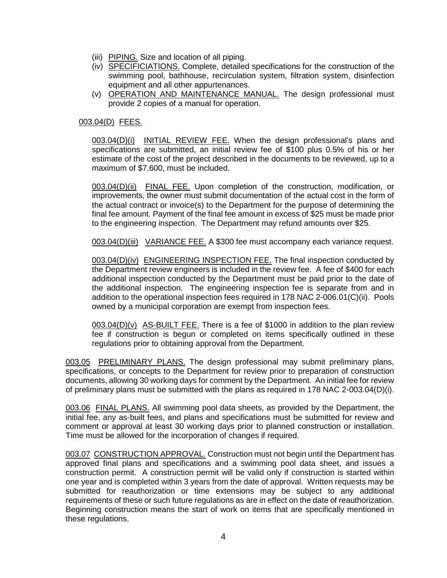- (iii) PIPING. Size and location of all piping.
- (iv) SPECIFICIATIONS. Complete, detailed specifications for the construction of the swimming pool, bathhouse, recirculation system, filtration system, disinfection equipment and all other appurtenances.
- (v) OPERATION AND MAINTENANCE MANUAL. The design professional must provide 2 copies of a manual for operation.

## 003.04(D) FEES.

003.04(D)(i) INITIAL REVIEW FEE. When the design professional's plans and specifications are submitted, an initial review fee of \$100 plus 0.5% of his or her estimate of the cost of the project described in the documents to be reviewed, up to a maximum of \$7,600, must be included.

003.04(D)(ii) FINAL FEE. Upon completion of the construction, modification, or improvements, the owner must submit documentation of the actual cost in the form of the actual contract or invoice(s) to the Department for the purpose of determining the final fee amount. Payment of the final fee amount in excess of \$25 must be made prior to the engineering inspection. The Department may refund amounts over \$25.

003.04(D)(iii) VARIANCE FEE. A \$300 fee must accompany each variance request.

003.04(D)(iv) ENGINEERING INSPECTION FEE. The final inspection conducted by the Department review engineers is included in the review fee. A fee of \$400 for each additional inspection conducted by the Department must be paid prior to the date of the additional inspection. The engineering inspection fee is separate from and in addition to the operational inspection fees required in 178 NAC 2-006.01(C)(ii). Pools owned by a municipal corporation are exempt from inspection fees.

003.04(D)(v) AS-BUILT FEE. There is a fee of \$1000 in addition to the plan review fee if construction is begun or completed on items specifically outlined in these regulations prior to obtaining approval from the Department.

003.05 PRELIMINARY PLANS. The design professional may submit preliminary plans, specifications, or concepts to the Department for review prior to preparation of construction documents, allowing 30 working days for comment by the Department. An initial fee for review of preliminary plans must be submitted with the plans as required in 178 NAC 2-003.04(D)(i).

003.06 FINAL PLANS. All swimming pool data sheets, as provided by the Department, the initial fee, any as-built fees, and plans and specifications must be submitted for review and comment or approval at least 30 working days prior to planned construction or installation. Time must be allowed for the incorporation of changes if required.

003.07 CONSTRUCTION APPROVAL. Construction must not begin until the Department has approved final plans and specifications and a swimming pool data sheet, and issues a construction permit. A construction permit will be valid only if construction is started within one year and is completed within 3 years from the date of approval. Written requests may be submitted for reauthorization or time extensions may be subject to any additional requirements of these or such future regulations as are in effect on the date of reauthorization. Beginning construction means the start of work on items that are specifically mentioned in these regulations.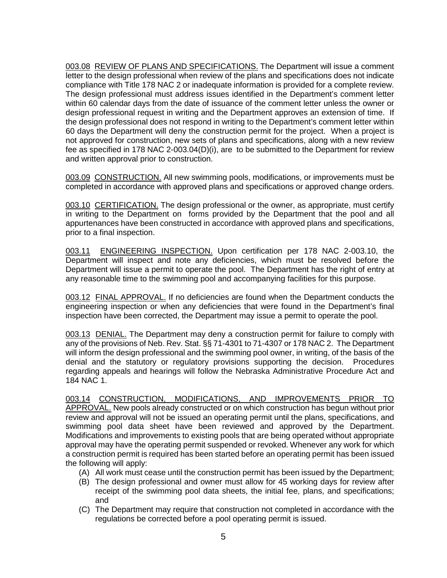003.08 REVIEW OF PLANS AND SPECIFICATIONS. The Department will issue a comment letter to the design professional when review of the plans and specifications does not indicate compliance with Title 178 NAC 2 or inadequate information is provided for a complete review. The design professional must address issues identified in the Department's comment letter within 60 calendar days from the date of issuance of the comment letter unless the owner or design professional request in writing and the Department approves an extension of time. If the design professional does not respond in writing to the Department's comment letter within 60 days the Department will deny the construction permit for the project. When a project is not approved for construction, new sets of plans and specifications, along with a new review fee as specified in 178 NAC 2-003.04(D)(i), are to be submitted to the Department for review and written approval prior to construction.

003.09 CONSTRUCTION. All new swimming pools, modifications, or improvements must be completed in accordance with approved plans and specifications or approved change orders.

003.10 CERTIFICATION. The design professional or the owner, as appropriate, must certify in writing to the Department on forms provided by the Department that the pool and all appurtenances have been constructed in accordance with approved plans and specifications, prior to a final inspection.

003.11 ENGINEERING INSPECTION. Upon certification per 178 NAC 2-003.10, the Department will inspect and note any deficiencies, which must be resolved before the Department will issue a permit to operate the pool. The Department has the right of entry at any reasonable time to the swimming pool and accompanying facilities for this purpose.

003.12 FINAL APPROVAL. If no deficiencies are found when the Department conducts the engineering inspection or when any deficiencies that were found in the Department's final inspection have been corrected, the Department may issue a permit to operate the pool.

003.13 DENIAL. The Department may deny a construction permit for failure to comply with any of the provisions of Neb. Rev. Stat. §§ 71-4301 to 71-4307 or 178 NAC 2. The Department will inform the design professional and the swimming pool owner, in writing, of the basis of the denial and the statutory or regulatory provisions supporting the decision. Procedures regarding appeals and hearings will follow the Nebraska Administrative Procedure Act and 184 NAC 1.

003.14 CONSTRUCTION, MODIFICATIONS, AND IMPROVEMENTS PRIOR TO APPROVAL. New pools already constructed or on which construction has begun without prior review and approval will not be issued an operating permit until the plans, specifications, and swimming pool data sheet have been reviewed and approved by the Department. Modifications and improvements to existing pools that are being operated without appropriate approval may have the operating permit suspended or revoked. Whenever any work for which a construction permit is required has been started before an operating permit has been issued the following will apply:

- (A) All work must cease until the construction permit has been issued by the Department;
- (B) The design professional and owner must allow for 45 working days for review after receipt of the swimming pool data sheets, the initial fee, plans, and specifications; and
- (C) The Department may require that construction not completed in accordance with the regulations be corrected before a pool operating permit is issued.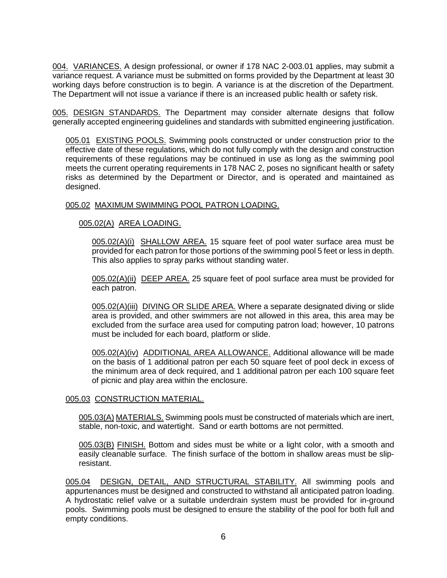004. VARIANCES. A design professional, or owner if 178 NAC 2-003.01 applies, may submit a variance request. A variance must be submitted on forms provided by the Department at least 30 working days before construction is to begin. A variance is at the discretion of the Department. The Department will not issue a variance if there is an increased public health or safety risk.

005. DESIGN STANDARDS. The Department may consider alternate designs that follow generally accepted engineering guidelines and standards with submitted engineering justification.

005.01 EXISTING POOLS. Swimming pools constructed or under construction prior to the effective date of these regulations, which do not fully comply with the design and construction requirements of these regulations may be continued in use as long as the swimming pool meets the current operating requirements in 178 NAC 2, poses no significant health or safety risks as determined by the Department or Director, and is operated and maintained as designed.

## 005.02 MAXIMUM SWIMMING POOL PATRON LOADING.

## 005.02(A) AREA LOADING.

005.02(A)(i) SHALLOW AREA. 15 square feet of pool water surface area must be provided for each patron for those portions of the swimming pool 5 feet or less in depth. This also applies to spray parks without standing water.

005.02(A)(ii) DEEP AREA. 25 square feet of pool surface area must be provided for each patron.

005.02(A)(iii) DIVING OR SLIDE AREA. Where a separate designated diving or slide area is provided, and other swimmers are not allowed in this area, this area may be excluded from the surface area used for computing patron load; however, 10 patrons must be included for each board, platform or slide.

005.02(A)(iv) ADDITIONAL AREA ALLOWANCE. Additional allowance will be made on the basis of 1 additional patron per each 50 square feet of pool deck in excess of the minimum area of deck required, and 1 additional patron per each 100 square feet of picnic and play area within the enclosure.

### 005.03 CONSTRUCTION MATERIAL.

005.03(A) MATERIALS. Swimming pools must be constructed of materials which are inert, stable, non-toxic, and watertight. Sand or earth bottoms are not permitted.

005.03(B) FINISH. Bottom and sides must be white or a light color, with a smooth and easily cleanable surface. The finish surface of the bottom in shallow areas must be slipresistant.

005.04 DESIGN, DETAIL, AND STRUCTURAL STABILITY. All swimming pools and appurtenances must be designed and constructed to withstand all anticipated patron loading. A hydrostatic relief valve or a suitable underdrain system must be provided for in-ground pools. Swimming pools must be designed to ensure the stability of the pool for both full and empty conditions.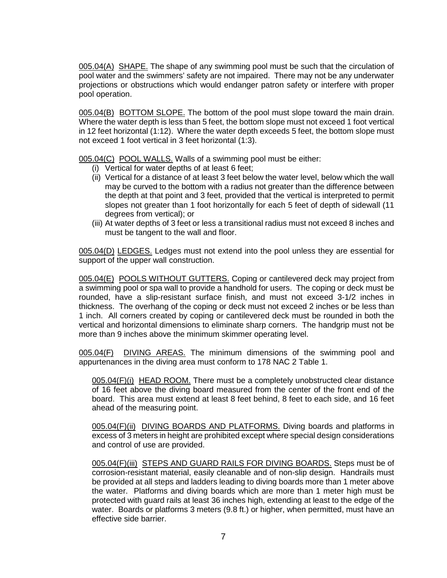005.04(A) SHAPE. The shape of any swimming pool must be such that the circulation of pool water and the swimmers' safety are not impaired. There may not be any underwater projections or obstructions which would endanger patron safety or interfere with proper pool operation.

005.04(B) BOTTOM SLOPE. The bottom of the pool must slope toward the main drain. Where the water depth is less than 5 feet, the bottom slope must not exceed 1 foot vertical in 12 feet horizontal (1:12). Where the water depth exceeds 5 feet, the bottom slope must not exceed 1 foot vertical in 3 feet horizontal (1:3).

005.04(C) POOL WALLS. Walls of a swimming pool must be either:

- (i) Vertical for water depths of at least 6 feet;
- (ii) Vertical for a distance of at least 3 feet below the water level, below which the wall may be curved to the bottom with a radius not greater than the difference between the depth at that point and 3 feet, provided that the vertical is interpreted to permit slopes not greater than 1 foot horizontally for each 5 feet of depth of sidewall (11 degrees from vertical); or
- (iii) At water depths of 3 feet or less a transitional radius must not exceed 8 inches and must be tangent to the wall and floor.

005.04(D) LEDGES. Ledges must not extend into the pool unless they are essential for support of the upper wall construction.

005.04(E) POOLS WITHOUT GUTTERS. Coping or cantilevered deck may project from a swimming pool or spa wall to provide a handhold for users. The coping or deck must be rounded, have a slip-resistant surface finish, and must not exceed 3-1/2 inches in thickness. The overhang of the coping or deck must not exceed 2 inches or be less than 1 inch. All corners created by coping or cantilevered deck must be rounded in both the vertical and horizontal dimensions to eliminate sharp corners. The handgrip must not be more than 9 inches above the minimum skimmer operating level.

005.04(F) DIVING AREAS. The minimum dimensions of the swimming pool and appurtenances in the diving area must conform to 178 NAC 2 Table 1.

005.04(F)(i) HEAD ROOM. There must be a completely unobstructed clear distance of 16 feet above the diving board measured from the center of the front end of the board. This area must extend at least 8 feet behind, 8 feet to each side, and 16 feet ahead of the measuring point.

005.04(F)(ii) DIVING BOARDS AND PLATFORMS. Diving boards and platforms in excess of 3 meters in height are prohibited except where special design considerations and control of use are provided.

005.04(F)(iii) STEPS AND GUARD RAILS FOR DIVING BOARDS. Steps must be of corrosion-resistant material, easily cleanable and of non-slip design. Handrails must be provided at all steps and ladders leading to diving boards more than 1 meter above the water. Platforms and diving boards which are more than 1 meter high must be protected with guard rails at least 36 inches high, extending at least to the edge of the water. Boards or platforms 3 meters (9.8 ft.) or higher, when permitted, must have an effective side barrier.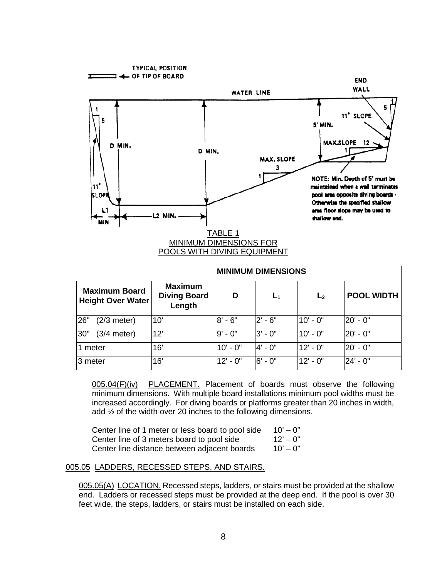

|                                                  |                                                 | <b>MINIMUM DIMENSIONS</b> |                |                |                   |
|--------------------------------------------------|-------------------------------------------------|---------------------------|----------------|----------------|-------------------|
| <b>Maximum Board</b><br><b>Height Over Water</b> | <b>Maximum</b><br><b>Diving Board</b><br>Length | D                         | L <sub>1</sub> | L <sub>2</sub> | <b>POOL WIDTH</b> |
| 26"<br>$(2/3$ meter)                             | 10'                                             | $8' - 6"$                 | $2' - 6''$     | 10' - 0"       | l20' - 0"         |
| 30"<br>$(3/4$ meter)                             | 12'                                             | $9' - 0''$                | $3' - 0''$     | 10' - 0"       | l20' - 0"         |
| 1 meter                                          | 16'                                             | $10' - 0''$               | 4' - 0"        | 12' - 0"       | 20' - 0"          |
| 3 meter                                          | 16'                                             | $12' - 0''$               | $6' - 0''$     | 12' - 0"       | $24' - 0''$       |

005.04(F)(iv) PLACEMENT. Placement of boards must observe the following minimum dimensions. With multiple board installations minimum pool widths must be increased accordingly. For diving boards or platforms greater than 20 inches in width, add ½ of the width over 20 inches to the following dimensions.

| Center line of 1 meter or less board to pool side | 10' — 0"    |
|---------------------------------------------------|-------------|
| Center line of 3 meters board to pool side        | $12" - 0"$  |
| Center line distance between adjacent boards      | $10' - 0''$ |

### 005.05 LADDERS, RECESSED STEPS, AND STAIRS.

005.05(A) LOCATION. Recessed steps, ladders, or stairs must be provided at the shallow end. Ladders or recessed steps must be provided at the deep end. If the pool is over 30 feet wide, the steps, ladders, or stairs must be installed on each side.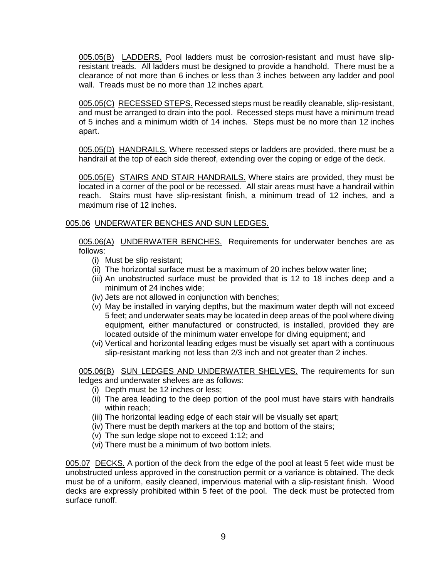005.05(B) LADDERS. Pool ladders must be corrosion-resistant and must have slipresistant treads. All ladders must be designed to provide a handhold. There must be a clearance of not more than 6 inches or less than 3 inches between any ladder and pool wall. Treads must be no more than 12 inches apart.

005.05(C) RECESSED STEPS. Recessed steps must be readily cleanable, slip-resistant, and must be arranged to drain into the pool. Recessed steps must have a minimum tread of 5 inches and a minimum width of 14 inches. Steps must be no more than 12 inches apart.

005.05(D) HANDRAILS. Where recessed steps or ladders are provided, there must be a handrail at the top of each side thereof, extending over the coping or edge of the deck.

005.05(E) STAIRS AND STAIR HANDRAILS. Where stairs are provided, they must be located in a corner of the pool or be recessed. All stair areas must have a handrail within reach. Stairs must have slip-resistant finish, a minimum tread of 12 inches, and a maximum rise of 12 inches.

## 005.06 UNDERWATER BENCHES AND SUN LEDGES.

005.06(A) UNDERWATER BENCHES. Requirements for underwater benches are as follows:

- (i) Must be slip resistant;
- (ii) The horizontal surface must be a maximum of 20 inches below water line;
- (iii) An unobstructed surface must be provided that is 12 to 18 inches deep and a minimum of 24 inches wide;
- (iv) Jets are not allowed in conjunction with benches;
- (v) May be installed in varying depths, but the maximum water depth will not exceed 5 feet; and underwater seats may be located in deep areas of the pool where diving equipment, either manufactured or constructed, is installed, provided they are located outside of the minimum water envelope for diving equipment; and
- (vi) Vertical and horizontal leading edges must be visually set apart with a continuous slip-resistant marking not less than 2/3 inch and not greater than 2 inches.

005.06(B) SUN LEDGES AND UNDERWATER SHELVES. The requirements for sun ledges and underwater shelves are as follows:

- (i) Depth must be 12 inches or less;
- (ii) The area leading to the deep portion of the pool must have stairs with handrails within reach;
- (iii) The horizontal leading edge of each stair will be visually set apart;
- (iv) There must be depth markers at the top and bottom of the stairs;
- (v) The sun ledge slope not to exceed 1:12; and
- (vi) There must be a minimum of two bottom inlets.

005.07 DECKS. A portion of the deck from the edge of the pool at least 5 feet wide must be unobstructed unless approved in the construction permit or a variance is obtained. The deck must be of a uniform, easily cleaned, impervious material with a slip-resistant finish. Wood decks are expressly prohibited within 5 feet of the pool. The deck must be protected from surface runoff.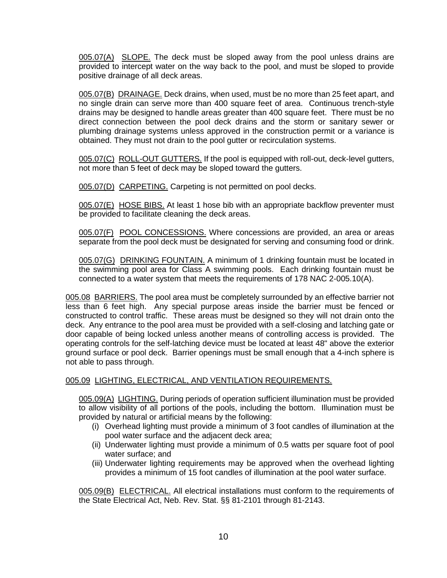005.07(A) SLOPE. The deck must be sloped away from the pool unless drains are provided to intercept water on the way back to the pool, and must be sloped to provide positive drainage of all deck areas.

005.07(B) DRAINAGE. Deck drains, when used, must be no more than 25 feet apart, and no single drain can serve more than 400 square feet of area. Continuous trench-style drains may be designed to handle areas greater than 400 square feet. There must be no direct connection between the pool deck drains and the storm or sanitary sewer or plumbing drainage systems unless approved in the construction permit or a variance is obtained. They must not drain to the pool gutter or recirculation systems.

005.07(C) ROLL-OUT GUTTERS. If the pool is equipped with roll-out, deck-level gutters, not more than 5 feet of deck may be sloped toward the gutters.

005.07(D) CARPETING. Carpeting is not permitted on pool decks.

005.07(E) HOSE BIBS. At least 1 hose bib with an appropriate backflow preventer must be provided to facilitate cleaning the deck areas.

005.07(F) POOL CONCESSIONS. Where concessions are provided, an area or areas separate from the pool deck must be designated for serving and consuming food or drink.

005.07(G) DRINKING FOUNTAIN. A minimum of 1 drinking fountain must be located in the swimming pool area for Class A swimming pools. Each drinking fountain must be connected to a water system that meets the requirements of 178 NAC 2-005.10(A).

005.08 BARRIERS. The pool area must be completely surrounded by an effective barrier not less than 6 feet high. Any special purpose areas inside the barrier must be fenced or constructed to control traffic. These areas must be designed so they will not drain onto the deck. Any entrance to the pool area must be provided with a self-closing and latching gate or door capable of being locked unless another means of controlling access is provided. The operating controls for the self-latching device must be located at least 48" above the exterior ground surface or pool deck. Barrier openings must be small enough that a 4-inch sphere is not able to pass through.

## 005.09 LIGHTING, ELECTRICAL, AND VENTILATION REQUIREMENTS.

005.09(A) LIGHTING. During periods of operation sufficient illumination must be provided to allow visibility of all portions of the pools, including the bottom. Illumination must be provided by natural or artificial means by the following:

- (i) Overhead lighting must provide a minimum of 3 foot candles of illumination at the pool water surface and the adjacent deck area;
- (ii) Underwater lighting must provide a minimum of 0.5 watts per square foot of pool water surface; and
- (iii) Underwater lighting requirements may be approved when the overhead lighting provides a minimum of 15 foot candles of illumination at the pool water surface.

005.09(B) ELECTRICAL. All electrical installations must conform to the requirements of the State Electrical Act, Neb. Rev. Stat. §§ 81-2101 through 81-2143.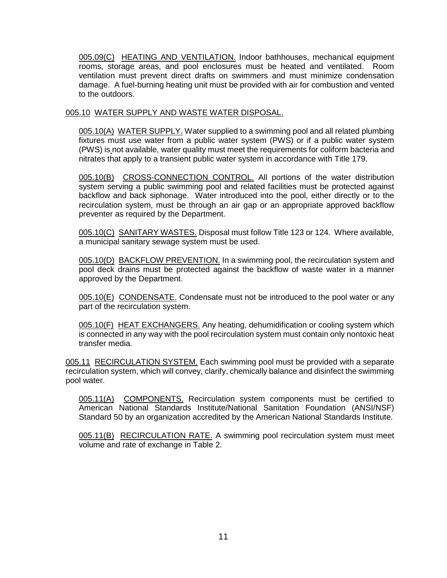005.09(C) HEATING AND VENTILATION. Indoor bathhouses, mechanical equipment rooms, storage areas, and pool enclosures must be heated and ventilated. Room ventilation must prevent direct drafts on swimmers and must minimize condensation damage. A fuel-burning heating unit must be provided with air for combustion and vented to the outdoors.

## 005.10 WATER SUPPLY AND WASTE WATER DISPOSAL.

005.10(A) WATER SUPPLY. Water supplied to a swimming pool and all related plumbing fixtures must use water from a public water system (PWS) or if a public water system (PWS) is not available, water quality must meet the requirements for coliform bacteria and nitrates that apply to a transient public water system in accordance with Title 179.

005.10(B) CROSS-CONNECTION CONTROL. All portions of the water distribution system serving a public swimming pool and related facilities must be protected against backflow and back siphonage. Water introduced into the pool, either directly or to the recirculation system, must be through an air gap or an appropriate approved backflow preventer as required by the Department.

005.10(C) SANITARY WASTES. Disposal must follow Title 123 or 124. Where available, a municipal sanitary sewage system must be used.

005.10(D) BACKFLOW PREVENTION. In a swimming pool, the recirculation system and pool deck drains must be protected against the backflow of waste water in a manner approved by the Department.

005.10(E) CONDENSATE. Condensate must not be introduced to the pool water or any part of the recirculation system.

005.10(F) HEAT EXCHANGERS. Any heating, dehumidification or cooling system which is connected in any way with the pool recirculation system must contain only nontoxic heat transfer media.

005.11 RECIRCULATION SYSTEM. Each swimming pool must be provided with a separate recirculation system, which will convey, clarify, chemically balance and disinfect the swimming pool water.

005.11(A) COMPONENTS. Recirculation system components must be certified to American National Standards Institute/National Sanitation Foundation (ANSI/NSF) Standard 50 by an organization accredited by the American National Standards Institute.

005.11(B) RECIRCULATION RATE. A swimming pool recirculation system must meet volume and rate of exchange in Table 2.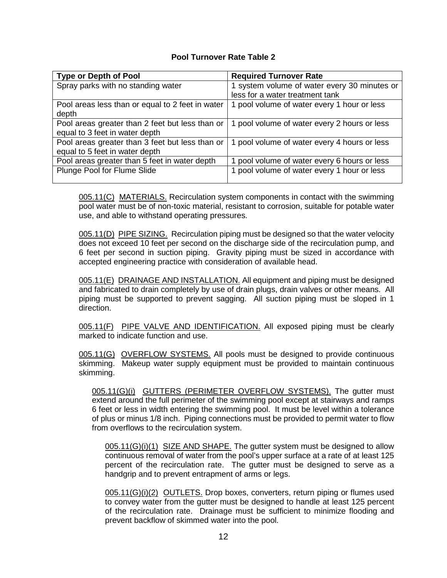## **Pool Turnover Rate Table 2**

| <b>Type or Depth of Pool</b>                                                      | <b>Required Turnover Rate</b>                |
|-----------------------------------------------------------------------------------|----------------------------------------------|
| Spray parks with no standing water                                                | 1 system volume of water every 30 minutes or |
|                                                                                   | less for a water treatment tank              |
| Pool areas less than or equal to 2 feet in water<br>depth                         | 1 pool volume of water every 1 hour or less  |
| Pool areas greater than 2 feet but less than or<br>equal to 3 feet in water depth | 1 pool volume of water every 2 hours or less |
| Pool areas greater than 3 feet but less than or<br>equal to 5 feet in water depth | 1 pool volume of water every 4 hours or less |
| Pool areas greater than 5 feet in water depth                                     | 1 pool volume of water every 6 hours or less |
| Plunge Pool for Flume Slide                                                       | 1 pool volume of water every 1 hour or less  |

005.11(C) MATERIALS. Recirculation system components in contact with the swimming pool water must be of non-toxic material, resistant to corrosion, suitable for potable water use, and able to withstand operating pressures.

005.11(D) PIPE SIZING. Recirculation piping must be designed so that the water velocity does not exceed 10 feet per second on the discharge side of the recirculation pump, and 6 feet per second in suction piping. Gravity piping must be sized in accordance with accepted engineering practice with consideration of available head.

005.11(E) DRAINAGE AND INSTALLATION. All equipment and piping must be designed and fabricated to drain completely by use of drain plugs, drain valves or other means. All piping must be supported to prevent sagging. All suction piping must be sloped in 1 direction.

005.11(F) PIPE VALVE AND IDENTIFICATION. All exposed piping must be clearly marked to indicate function and use.

005.11(G) OVERFLOW SYSTEMS. All pools must be designed to provide continuous skimming. Makeup water supply equipment must be provided to maintain continuous skimming.

005.11(G)(i) GUTTERS (PERIMETER OVERFLOW SYSTEMS). The gutter must extend around the full perimeter of the swimming pool except at stairways and ramps 6 feet or less in width entering the swimming pool. It must be level within a tolerance of plus or minus 1/8 inch. Piping connections must be provided to permit water to flow from overflows to the recirculation system.

 $005.11(G)(i)(1)$  SIZE AND SHAPE. The gutter system must be designed to allow continuous removal of water from the pool's upper surface at a rate of at least 125 percent of the recirculation rate. The gutter must be designed to serve as a handgrip and to prevent entrapment of arms or legs.

005.11(G)(i)(2) OUTLETS. Drop boxes, converters, return piping or flumes used to convey water from the gutter must be designed to handle at least 125 percent of the recirculation rate. Drainage must be sufficient to minimize flooding and prevent backflow of skimmed water into the pool.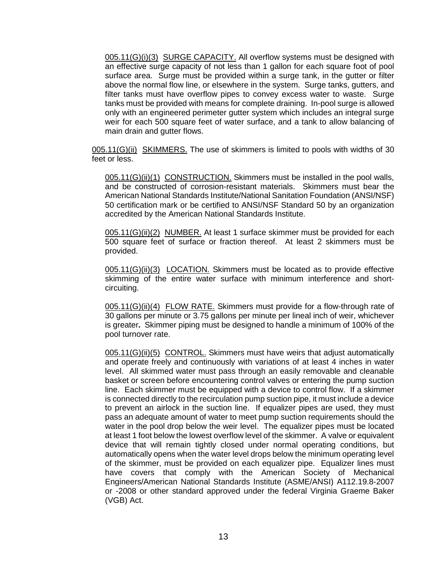005.11(G)(i)(3) SURGE CAPACITY. All overflow systems must be designed with an effective surge capacity of not less than 1 gallon for each square foot of pool surface area. Surge must be provided within a surge tank, in the gutter or filter above the normal flow line, or elsewhere in the system. Surge tanks, gutters, and filter tanks must have overflow pipes to convey excess water to waste. Surge tanks must be provided with means for complete draining. In-pool surge is allowed only with an engineered perimeter gutter system which includes an integral surge weir for each 500 square feet of water surface, and a tank to allow balancing of main drain and gutter flows.

005.11(G)(ii) SKIMMERS. The use of skimmers is limited to pools with widths of 30 feet or less.

005.11(G)(ii)(1) CONSTRUCTION. Skimmers must be installed in the pool walls, and be constructed of corrosion-resistant materials. Skimmers must bear the American National Standards Institute/National Sanitation Foundation (ANSI/NSF) 50 certification mark or be certified to ANSI/NSF Standard 50 by an organization accredited by the American National Standards Institute.

005.11(G)(ii)(2) NUMBER. At least 1 surface skimmer must be provided for each 500 square feet of surface or fraction thereof. At least 2 skimmers must be provided.

005.11(G)(ii)(3) LOCATION. Skimmers must be located as to provide effective skimming of the entire water surface with minimum interference and shortcircuiting.

005.11(G)(ii)(4) FLOW RATE. Skimmers must provide for a flow-through rate of 30 gallons per minute or 3.75 gallons per minute per lineal inch of weir, whichever is greater**.** Skimmer piping must be designed to handle a minimum of 100% of the pool turnover rate.

005.11(G)(ii)(5) CONTROL. Skimmers must have weirs that adjust automatically and operate freely and continuously with variations of at least 4 inches in water level. All skimmed water must pass through an easily removable and cleanable basket or screen before encountering control valves or entering the pump suction line. Each skimmer must be equipped with a device to control flow. If a skimmer is connected directly to the recirculation pump suction pipe, it must include a device to prevent an airlock in the suction line. If equalizer pipes are used, they must pass an adequate amount of water to meet pump suction requirements should the water in the pool drop below the weir level. The equalizer pipes must be located at least 1 foot below the lowest overflow level of the skimmer. A valve or equivalent device that will remain tightly closed under normal operating conditions, but automatically opens when the water level drops below the minimum operating level of the skimmer, must be provided on each equalizer pipe. Equalizer lines must have covers that comply with the American Society of Mechanical Engineers/American National Standards Institute (ASME/ANSI) A112.19.8-2007 or -2008 or other standard approved under the federal Virginia Graeme Baker (VGB) Act.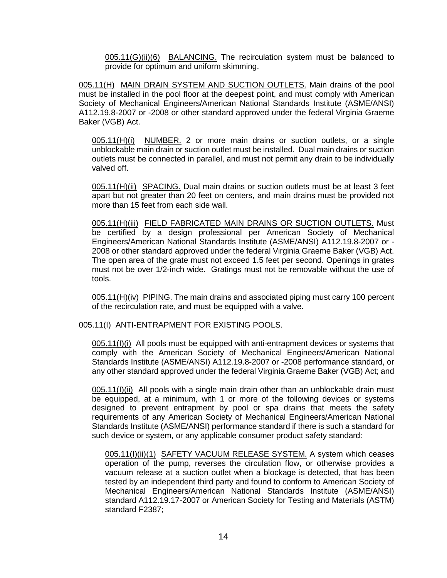005.11(G)(ii)(6) BALANCING. The recirculation system must be balanced to provide for optimum and uniform skimming.

005.11(H) MAIN DRAIN SYSTEM AND SUCTION OUTLETS. Main drains of the pool must be installed in the pool floor at the deepest point, and must comply with American Society of Mechanical Engineers/American National Standards Institute (ASME/ANSI) A112.19.8-2007 or -2008 or other standard approved under the federal Virginia Graeme Baker (VGB) Act.

005.11(H)(i) NUMBER. 2 or more main drains or suction outlets, or a single unblockable main drain or suction outlet must be installed. Dual main drains or suction outlets must be connected in parallel, and must not permit any drain to be individually valved off.

005.11(H)(ii) SPACING. Dual main drains or suction outlets must be at least 3 feet apart but not greater than 20 feet on centers, and main drains must be provided not more than 15 feet from each side wall.

005.11(H)(iii) FIELD FABRICATED MAIN DRAINS OR SUCTION OUTLETS. Must be certified by a design professional per American Society of Mechanical Engineers/American National Standards Institute (ASME/ANSI) A112.19.8-2007 or - 2008 or other standard approved under the federal Virginia Graeme Baker (VGB) Act. The open area of the grate must not exceed 1.5 feet per second. Openings in grates must not be over 1/2-inch wide. Gratings must not be removable without the use of tools.

005.11(H)(iv) PIPING. The main drains and associated piping must carry 100 percent of the recirculation rate, and must be equipped with a valve.

### 005.11(I) ANTI-ENTRAPMENT FOR EXISTING POOLS.

005.11(I)(i) All pools must be equipped with anti-entrapment devices or systems that comply with the American Society of Mechanical Engineers/American National Standards Institute (ASME/ANSI) A112.19.8-2007 or -2008 performance standard, or any other standard approved under the federal Virginia Graeme Baker (VGB) Act; and

005.11(I)(ii) All pools with a single main drain other than an unblockable drain must be equipped, at a minimum, with 1 or more of the following devices or systems designed to prevent entrapment by pool or spa drains that meets the safety requirements of any American Society of Mechanical Engineers/American National Standards Institute (ASME/ANSI) performance standard if there is such a standard for such device or system, or any applicable consumer product safety standard:

005.11(I)(ii)(1) SAFETY VACUUM RELEASE SYSTEM. A system which ceases operation of the pump, reverses the circulation flow, or otherwise provides a vacuum release at a suction outlet when a blockage is detected, that has been tested by an independent third party and found to conform to American Society of Mechanical Engineers/American National Standards Institute (ASME/ANSI) standard A112.19.17-2007 or American Society for Testing and Materials (ASTM) standard F2387;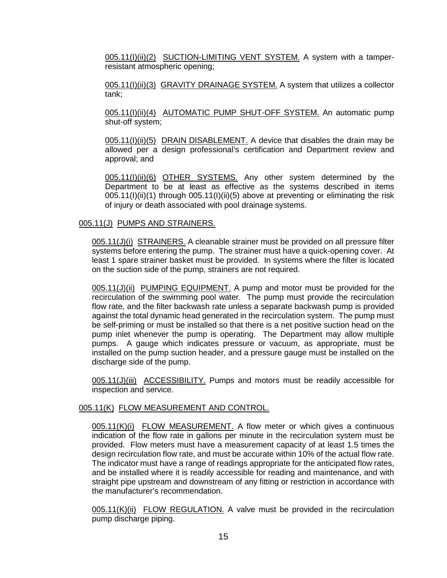005.11(I)(ii)(2) SUCTION-LIMITING VENT SYSTEM. A system with a tamperresistant atmospheric opening;

005.11(I)(ii)(3) GRAVITY DRAINAGE SYSTEM. A system that utilizes a collector tank;

005.11(I)(ii)(4) AUTOMATIC PUMP SHUT-OFF SYSTEM. An automatic pump shut-off system;

005.11(I)(ii)(5) DRAIN DISABLEMENT. A device that disables the drain may be allowed per a design professional's certification and Department review and approval; and

005.11(I)(ii)(6) OTHER SYSTEMS. Any other system determined by the Department to be at least as effective as the systems described in items  $005.11(1)(ii)(1)$  through  $005.11(1)(ii)(5)$  above at preventing or eliminating the risk of injury or death associated with pool drainage systems.

#### 005.11(J) PUMPS AND STRAINERS.

005.11(J)(i) STRAINERS. A cleanable strainer must be provided on all pressure filter systems before entering the pump. The strainer must have a quick-opening cover. At least 1 spare strainer basket must be provided. In systems where the filter is located on the suction side of the pump, strainers are not required.

005.11(J)(ii) PUMPING EQUIPMENT. A pump and motor must be provided for the recirculation of the swimming pool water. The pump must provide the recirculation flow rate, and the filter backwash rate unless a separate backwash pump is provided against the total dynamic head generated in the recirculation system. The pump must be self-priming or must be installed so that there is a net positive suction head on the pump inlet whenever the pump is operating. The Department may allow multiple pumps. A gauge which indicates pressure or vacuum, as appropriate, must be installed on the pump suction header, and a pressure gauge must be installed on the discharge side of the pump.

005.11(J)(iii) ACCESSIBILITY. Pumps and motors must be readily accessible for inspection and service.

### 005.11(K) FLOW MEASUREMENT AND CONTROL.

005.11(K)(i) FLOW MEASUREMENT. A flow meter or which gives a continuous indication of the flow rate in gallons per minute in the recirculation system must be provided. Flow meters must have a measurement capacity of at least 1.5 times the design recirculation flow rate, and must be accurate within 10% of the actual flow rate. The indicator must have a range of readings appropriate for the anticipated flow rates, and be installed where it is readily accessible for reading and maintenance, and with straight pipe upstream and downstream of any fitting or restriction in accordance with the manufacturer's recommendation.

005.11(K)(ii) FLOW REGULATION. A valve must be provided in the recirculation pump discharge piping.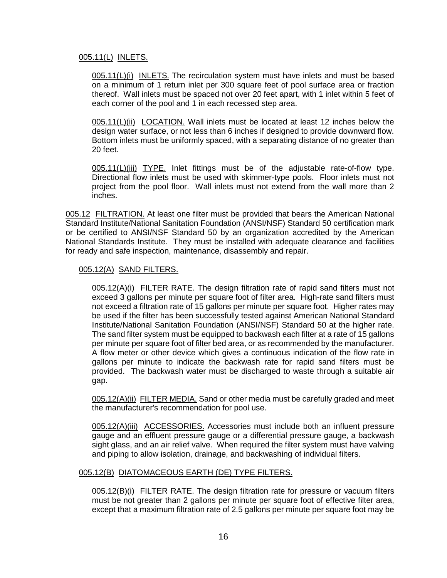### 005.11(L) INLETS.

005.11(L)(i) INLETS. The recirculation system must have inlets and must be based on a minimum of 1 return inlet per 300 square feet of pool surface area or fraction thereof. Wall inlets must be spaced not over 20 feet apart, with 1 inlet within 5 feet of each corner of the pool and 1 in each recessed step area.

005.11(L)(ii) LOCATION. Wall inlets must be located at least 12 inches below the design water surface, or not less than 6 inches if designed to provide downward flow. Bottom inlets must be uniformly spaced, with a separating distance of no greater than 20 feet.

005.11(L)(iii) TYPE. Inlet fittings must be of the adjustable rate-of-flow type. Directional flow inlets must be used with skimmer-type pools. Floor inlets must not project from the pool floor. Wall inlets must not extend from the wall more than 2 inches.

005.12 FILTRATION. At least one filter must be provided that bears the American National Standard Institute/National Sanitation Foundation (ANSI/NSF) Standard 50 certification mark or be certified to ANSI/NSF Standard 50 by an organization accredited by the American National Standards Institute. They must be installed with adequate clearance and facilities for ready and safe inspection, maintenance, disassembly and repair.

### 005.12(A) SAND FILTERS.

005.12(A)(i) FILTER RATE. The design filtration rate of rapid sand filters must not exceed 3 gallons per minute per square foot of filter area. High-rate sand filters must not exceed a filtration rate of 15 gallons per minute per square foot. Higher rates may be used if the filter has been successfully tested against American National Standard Institute/National Sanitation Foundation (ANSI/NSF) Standard 50 at the higher rate. The sand filter system must be equipped to backwash each filter at a rate of 15 gallons per minute per square foot of filter bed area, or as recommended by the manufacturer. A flow meter or other device which gives a continuous indication of the flow rate in gallons per minute to indicate the backwash rate for rapid sand filters must be provided. The backwash water must be discharged to waste through a suitable air gap.

005.12(A)(ii) FILTER MEDIA. Sand or other media must be carefully graded and meet the manufacturer's recommendation for pool use.

005.12(A)(iii) ACCESSORIES. Accessories must include both an influent pressure gauge and an effluent pressure gauge or a differential pressure gauge, a backwash sight glass, and an air relief valve. When required the filter system must have valving and piping to allow isolation, drainage, and backwashing of individual filters.

### 005.12(B) DIATOMACEOUS EARTH (DE) TYPE FILTERS.

005.12(B)(i) FILTER RATE. The design filtration rate for pressure or vacuum filters must be not greater than 2 gallons per minute per square foot of effective filter area, except that a maximum filtration rate of 2.5 gallons per minute per square foot may be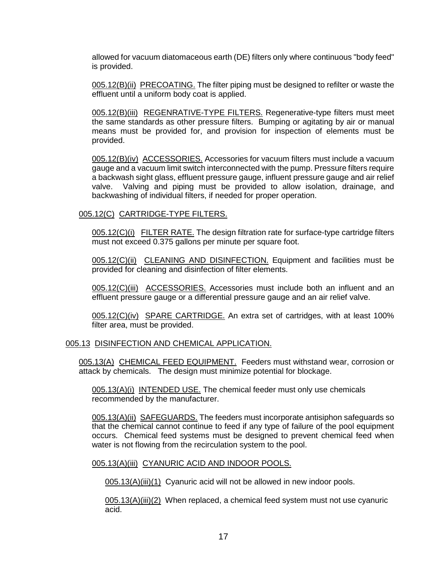allowed for vacuum diatomaceous earth (DE) filters only where continuous "body feed" is provided.

005.12(B)(ii) PRECOATING. The filter piping must be designed to refilter or waste the effluent until a uniform body coat is applied.

005.12(B)(iii) REGENRATIVE-TYPE FILTERS. Regenerative-type filters must meet the same standards as other pressure filters. Bumping or agitating by air or manual means must be provided for, and provision for inspection of elements must be provided.

005.12(B)(iv) ACCESSORIES. Accessories for vacuum filters must include a vacuum gauge and a vacuum limit switch interconnected with the pump. Pressure filters require a backwash sight glass, effluent pressure gauge, influent pressure gauge and air relief valve. Valving and piping must be provided to allow isolation, drainage, and backwashing of individual filters, if needed for proper operation.

#### 005.12(C) CARTRIDGE-TYPE FILTERS.

005.12(C)(i) FILTER RATE. The design filtration rate for surface-type cartridge filters must not exceed 0.375 gallons per minute per square foot.

005.12(C)(ii) CLEANING AND DISINFECTION. Equipment and facilities must be provided for cleaning and disinfection of filter elements.

005.12(C)(iii) ACCESSORIES. Accessories must include both an influent and an effluent pressure gauge or a differential pressure gauge and an air relief valve.

005.12(C)(iv) SPARE CARTRIDGE. An extra set of cartridges, with at least 100% filter area, must be provided.

#### 005.13 DISINFECTION AND CHEMICAL APPLICATION.

005.13(A) CHEMICAL FEED EQUIPMENT. Feeders must withstand wear, corrosion or attack by chemicals. The design must minimize potential for blockage.

005.13(A)(i) INTENDED USE. The chemical feeder must only use chemicals recommended by the manufacturer.

005.13(A)(ii) SAFEGUARDS. The feeders must incorporate antisiphon safeguards so that the chemical cannot continue to feed if any type of failure of the pool equipment occurs. Chemical feed systems must be designed to prevent chemical feed when water is not flowing from the recirculation system to the pool.

#### 005.13(A)(iii) CYANURIC ACID AND INDOOR POOLS.

005.13(A)(iii)(1) Cyanuric acid will not be allowed in new indoor pools.

005.13(A)(iii)(2) When replaced, a chemical feed system must not use cyanuric acid.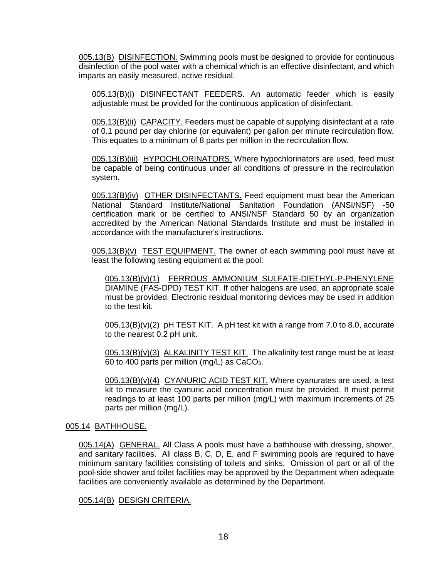005.13(B) DISINFECTION. Swimming pools must be designed to provide for continuous disinfection of the pool water with a chemical which is an effective disinfectant, and which imparts an easily measured, active residual.

005.13(B)(i) DISINFECTANT FEEDERS. An automatic feeder which is easily adjustable must be provided for the continuous application of disinfectant.

005.13(B)(ii) CAPACITY. Feeders must be capable of supplying disinfectant at a rate of 0.1 pound per day chlorine (or equivalent) per gallon per minute recirculation flow. This equates to a minimum of 8 parts per million in the recirculation flow.

005.13(B)(iii) HYPOCHLORINATORS. Where hypochlorinators are used, feed must be capable of being continuous under all conditions of pressure in the recirculation system.

005.13(B)(iv) OTHER DISINFECTANTS. Feed equipment must bear the American National Standard Institute/National Sanitation Foundation (ANSI/NSF) -50 certification mark or be certified to ANSI/NSF Standard 50 by an organization accredited by the American National Standards Institute and must be installed in accordance with the manufacturer's instructions.

 $0.05.13(B)(v)$  TEST EQUIPMENT. The owner of each swimming pool must have at least the following testing equipment at the pool:

005.13(B)(v)(1) FERROUS AMMONIUM SULFATE-DIETHYL-P-PHENYLENE DIAMINE (FAS-DPD) TEST KIT. If other halogens are used, an appropriate scale must be provided. Electronic residual monitoring devices may be used in addition to the test kit.

 $\underline{005.13(B)(v)(2)}$  pH TEST KIT. A pH test kit with a range from 7.0 to 8.0, accurate to the nearest 0.2 pH unit.

 $005.13(B)(v)(3)$  ALKALINITY TEST KIT. The alkalinity test range must be at least 60 to 400 parts per million (mg/L) as CaCO3.

005.13(B)(v)(4) CYANURIC ACID TEST KIT. Where cyanurates are used, a test kit to measure the cyanuric acid concentration must be provided. It must permit readings to at least 100 parts per million (mg/L) with maximum increments of 25 parts per million (mg/L).

#### 005.14 BATHHOUSE.

005.14(A) GENERAL. All Class A pools must have a bathhouse with dressing, shower, and sanitary facilities. All class B, C, D, E, and F swimming pools are required to have minimum sanitary facilities consisting of toilets and sinks. Omission of part or all of the pool-side shower and toilet facilities may be approved by the Department when adequate facilities are conveniently available as determined by the Department.

#### 005.14(B) DESIGN CRITERIA.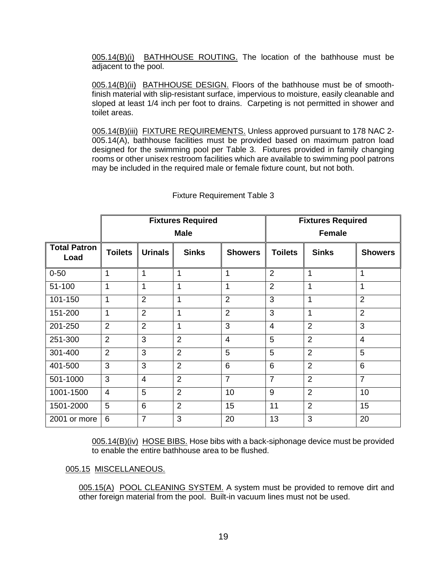005.14(B)(i) BATHHOUSE ROUTING. The location of the bathhouse must be adjacent to the pool.

005.14(B)(ii) BATHHOUSE DESIGN. Floors of the bathhouse must be of smoothfinish material with slip-resistant surface, impervious to moisture, easily cleanable and sloped at least 1/4 inch per foot to drains. Carpeting is not permitted in shower and toilet areas.

005.14(B)(iii) FIXTURE REQUIREMENTS. Unless approved pursuant to 178 NAC 2- 005.14(A), bathhouse facilities must be provided based on maximum patron load designed for the swimming pool per Table 3. Fixtures provided in family changing rooms or other unisex restroom facilities which are available to swimming pool patrons may be included in the required male or female fixture count, but not both.

|                             | <b>Fixtures Required</b><br><b>Male</b> |                 |                | <b>Fixtures Required</b><br><b>Female</b> |                |                |                |
|-----------------------------|-----------------------------------------|-----------------|----------------|-------------------------------------------|----------------|----------------|----------------|
| <b>Total Patron</b><br>Load | <b>Toilets</b>                          | <b>Urinals</b>  | <b>Sinks</b>   | <b>Showers</b>                            | <b>Toilets</b> | <b>Sinks</b>   | <b>Showers</b> |
| $0 - 50$                    | 1                                       | 1               | 1              | 1                                         | $\overline{2}$ | 1              | 1              |
| 51-100                      | 1                                       | 1               | 1              | 1                                         | $\overline{2}$ | 1              | 1              |
| 101-150                     | 1                                       | $\overline{2}$  | 1              | $\overline{2}$                            | 3              | 1              | $\overline{2}$ |
| 151-200                     | $\mathbf{1}$                            | $\overline{2}$  | 1              | $\overline{2}$                            | 3              | 1              | $\overline{2}$ |
| 201-250                     | $\overline{2}$                          | $\overline{2}$  | 1              | 3                                         | $\overline{4}$ | $\overline{2}$ | 3              |
| 251-300                     | $\overline{2}$                          | 3               | $\overline{2}$ | $\overline{4}$                            | 5              | $\overline{2}$ | $\overline{4}$ |
| 301-400                     | $\overline{2}$                          | 3               | $\overline{2}$ | 5                                         | 5              | $\overline{2}$ | 5              |
| 401-500                     | 3                                       | 3               | $\overline{2}$ | $6\phantom{1}6$                           | 6              | $\overline{2}$ | 6              |
| 501-1000                    | 3                                       | $\overline{4}$  | $\overline{2}$ | $\overline{7}$                            | $\overline{7}$ | $\overline{2}$ | $\overline{7}$ |
| 1001-1500                   | $\overline{4}$                          | 5               | $\overline{2}$ | 10                                        | 9              | $\overline{2}$ | 10             |
| 1501-2000                   | 5                                       | $6\phantom{1}6$ | $\overline{2}$ | 15                                        | 11             | $\overline{2}$ | 15             |
| 2001 or more                | 6                                       | $\overline{7}$  | 3              | 20                                        | 13             | 3              | 20             |

## Fixture Requirement Table 3

005.14(B)(iv) HOSE BIBS. Hose bibs with a back-siphonage device must be provided to enable the entire bathhouse area to be flushed.

005.15 MISCELLANEOUS.

005.15(A) POOL CLEANING SYSTEM. A system must be provided to remove dirt and other foreign material from the pool. Built-in vacuum lines must not be used.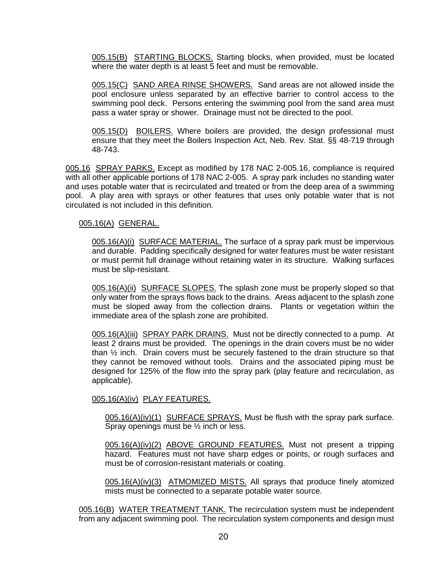005.15(B) STARTING BLOCKS. Starting blocks, when provided, must be located where the water depth is at least 5 feet and must be removable.

005.15(C) SAND AREA RINSE SHOWERS. Sand areas are not allowed inside the pool enclosure unless separated by an effective barrier to control access to the swimming pool deck. Persons entering the swimming pool from the sand area must pass a water spray or shower. Drainage must not be directed to the pool.

005.15(D) BOILERS. Where boilers are provided, the design professional must ensure that they meet the Boilers Inspection Act, Neb. Rev. Stat. §§ 48-719 through 48-743.

005.16 SPRAY PARKS. Except as modified by 178 NAC 2-005.16, compliance is required with all other applicable portions of 178 NAC 2-005. A spray park includes no standing water and uses potable water that is recirculated and treated or from the deep area of a swimming pool. A play area with sprays or other features that uses only potable water that is not circulated is not included in this definition.

## 005.16(A) GENERAL.

005.16(A)(i) SURFACE MATERIAL. The surface of a spray park must be impervious and durable. Padding specifically designed for water features must be water resistant or must permit full drainage without retaining water in its structure. Walking surfaces must be slip-resistant.

005.16(A)(ii) SURFACE SLOPES. The splash zone must be properly sloped so that only water from the sprays flows back to the drains. Areas adjacent to the splash zone must be sloped away from the collection drains. Plants or vegetation within the immediate area of the splash zone are prohibited.

005.16(A)(iii) SPRAY PARK DRAINS. Must not be directly connected to a pump. At least 2 drains must be provided. The openings in the drain covers must be no wider than  $\frac{1}{2}$  inch. Drain covers must be securely fastened to the drain structure so that they cannot be removed without tools. Drains and the associated piping must be designed for 125% of the flow into the spray park (play feature and recirculation, as applicable).

## 005.16(A)(iv) PLAY FEATURES.

005.16(A)(iv)(1) SURFACE SPRAYS. Must be flush with the spray park surface. Spray openings must be ½ inch or less.

005.16(A)(iv)(2) ABOVE GROUND FEATURES. Must not present a tripping hazard. Features must not have sharp edges or points, or rough surfaces and must be of corrosion-resistant materials or coating.

005.16(A)(iv)(3) ATMOMIZED MISTS. All sprays that produce finely atomized mists must be connected to a separate potable water source.

005.16(B) WATER TREATMENT TANK. The recirculation system must be independent from any adjacent swimming pool. The recirculation system components and design must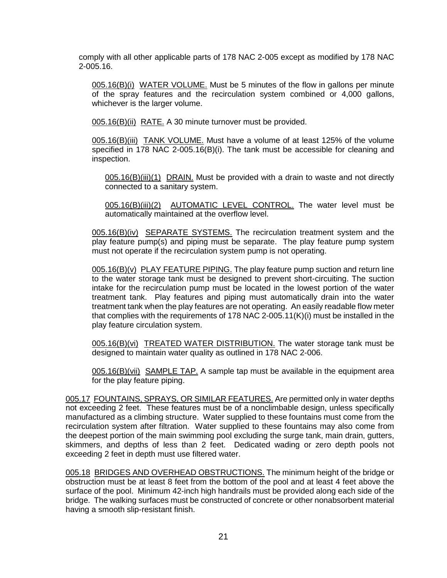comply with all other applicable parts of 178 NAC 2-005 except as modified by 178 NAC 2-005.16.

005.16(B)(i) WATER VOLUME. Must be 5 minutes of the flow in gallons per minute of the spray features and the recirculation system combined or 4,000 gallons, whichever is the larger volume.

005.16(B)(ii) RATE. A 30 minute turnover must be provided.

005.16(B)(iii) TANK VOLUME. Must have a volume of at least 125% of the volume specified in 178 NAC 2-005.16(B)(i). The tank must be accessible for cleaning and inspection.

005.16(B)(iii)(1) DRAIN. Must be provided with a drain to waste and not directly connected to a sanitary system.

005.16(B)(iii)(2) AUTOMATIC LEVEL CONTROL. The water level must be automatically maintained at the overflow level.

005.16(B)(iv) SEPARATE SYSTEMS. The recirculation treatment system and the play feature pump(s) and piping must be separate. The play feature pump system must not operate if the recirculation system pump is not operating.

005.16(B)(v) PLAY FEATURE PIPING. The play feature pump suction and return line to the water storage tank must be designed to prevent short-circuiting. The suction intake for the recirculation pump must be located in the lowest portion of the water treatment tank. Play features and piping must automatically drain into the water treatment tank when the play features are not operating. An easily readable flow meter that complies with the requirements of 178 NAC 2-005.11 $(K)(i)$  must be installed in the play feature circulation system.

005.16(B)(vi) TREATED WATER DISTRIBUTION. The water storage tank must be designed to maintain water quality as outlined in 178 NAC 2-006.

005.16(B)(vii) SAMPLE TAP. A sample tap must be available in the equipment area for the play feature piping.

005.17 FOUNTAINS, SPRAYS, OR SIMILAR FEATURES. Are permitted only in water depths not exceeding 2 feet. These features must be of a nonclimbable design, unless specifically manufactured as a climbing structure. Water supplied to these fountains must come from the recirculation system after filtration. Water supplied to these fountains may also come from the deepest portion of the main swimming pool excluding the surge tank, main drain, gutters, skimmers, and depths of less than 2 feet. Dedicated wading or zero depth pools not exceeding 2 feet in depth must use filtered water.

005.18 BRIDGES AND OVERHEAD OBSTRUCTIONS. The minimum height of the bridge or obstruction must be at least 8 feet from the bottom of the pool and at least 4 feet above the surface of the pool. Minimum 42-inch high handrails must be provided along each side of the bridge. The walking surfaces must be constructed of concrete or other nonabsorbent material having a smooth slip-resistant finish.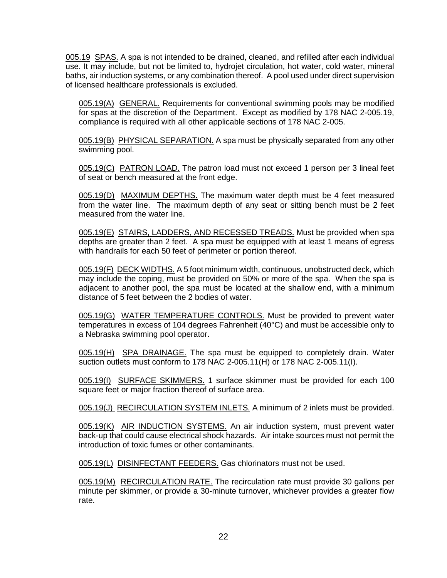005.19 SPAS. A spa is not intended to be drained, cleaned, and refilled after each individual use. It may include, but not be limited to, hydrojet circulation, hot water, cold water, mineral baths, air induction systems, or any combination thereof. A pool used under direct supervision of licensed healthcare professionals is excluded.

005.19(A) GENERAL. Requirements for conventional swimming pools may be modified for spas at the discretion of the Department. Except as modified by 178 NAC 2-005.19, compliance is required with all other applicable sections of 178 NAC 2-005.

005.19(B) PHYSICAL SEPARATION. A spa must be physically separated from any other swimming pool.

005.19(C) PATRON LOAD. The patron load must not exceed 1 person per 3 lineal feet of seat or bench measured at the front edge.

005.19(D) MAXIMUM DEPTHS. The maximum water depth must be 4 feet measured from the water line. The maximum depth of any seat or sitting bench must be 2 feet measured from the water line.

005.19(E) STAIRS, LADDERS, AND RECESSED TREADS. Must be provided when spa depths are greater than 2 feet. A spa must be equipped with at least 1 means of egress with handrails for each 50 feet of perimeter or portion thereof.

005.19(F) DECK WIDTHS. A 5 foot minimum width, continuous, unobstructed deck, which may include the coping, must be provided on 50% or more of the spa. When the spa is adjacent to another pool, the spa must be located at the shallow end, with a minimum distance of 5 feet between the 2 bodies of water.

005.19(G) WATER TEMPERATURE CONTROLS. Must be provided to prevent water temperatures in excess of 104 degrees Fahrenheit (40°C) and must be accessible only to a Nebraska swimming pool operator.

005.19(H) SPA DRAINAGE. The spa must be equipped to completely drain. Water suction outlets must conform to 178 NAC 2-005.11(H) or 178 NAC 2-005.11(I).

005.19(I) SURFACE SKIMMERS. 1 surface skimmer must be provided for each 100 square feet or major fraction thereof of surface area.

005.19(J) RECIRCULATION SYSTEM INLETS. A minimum of 2 inlets must be provided.

005.19(K) AIR INDUCTION SYSTEMS. An air induction system, must prevent water back-up that could cause electrical shock hazards. Air intake sources must not permit the introduction of toxic fumes or other contaminants.

005.19(L) DISINFECTANT FEEDERS. Gas chlorinators must not be used.

005.19(M) RECIRCULATION RATE. The recirculation rate must provide 30 gallons per minute per skimmer, or provide a  $30$ -minute turnover, whichever provides a greater flow rate.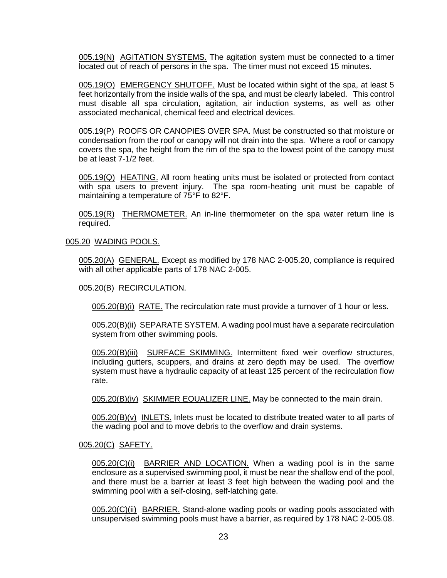005.19(N) AGITATION SYSTEMS. The agitation system must be connected to a timer located out of reach of persons in the spa. The timer must not exceed 15 minutes.

005.19(O) EMERGENCY SHUTOFF. Must be located within sight of the spa, at least 5 feet horizontally from the inside walls of the spa, and must be clearly labeled.This control must disable all spa circulation, agitation, air induction systems, as well as other associated mechanical, chemical feed and electrical devices.

005.19(P) ROOFS OR CANOPIES OVER SPA. Must be constructed so that moisture or condensation from the roof or canopy will not drain into the spa. Where a roof or canopy covers the spa, the height from the rim of the spa to the lowest point of the canopy must be at least 7-1/2 feet.

005.19(Q) HEATING. All room heating units must be isolated or protected from contact with spa users to prevent injury. The spa room-heating unit must be capable of maintaining a temperature of 75°F to 82°F.

005.19(R) THERMOMETER. An in-line thermometer on the spa water return line is required.

#### 005.20 WADING POOLS.

005.20(A) GENERAL. Except as modified by 178 NAC 2-005.20, compliance is required with all other applicable parts of 178 NAC 2-005.

#### 005.20(B) RECIRCULATION.

005.20(B)(i) RATE. The recirculation rate must provide a turnover of 1 hour or less.

005.20(B)(ii) SEPARATE SYSTEM. A wading pool must have a separate recirculation system from other swimming pools.

005.20(B)(iii) SURFACE SKIMMING. Intermittent fixed weir overflow structures, including gutters, scuppers, and drains at zero depth may be used. The overflow system must have a hydraulic capacity of at least 125 percent of the recirculation flow rate.

005.20(B)(iv) SKIMMER EQUALIZER LINE. May be connected to the main drain.

005.20(B)(v) INLETS. Inlets must be located to distribute treated water to all parts of the wading pool and to move debris to the overflow and drain systems.

### 005.20(C) SAFETY.

005.20(C)(i) BARRIER AND LOCATION. When a wading pool is in the same enclosure as a supervised swimming pool, it must be near the shallow end of the pool, and there must be a barrier at least 3 feet high between the wading pool and the swimming pool with a self-closing, self-latching gate.

005.20(C)(ii) BARRIER. Stand-alone wading pools or wading pools associated with unsupervised swimming pools must have a barrier, as required by 178 NAC 2-005.08.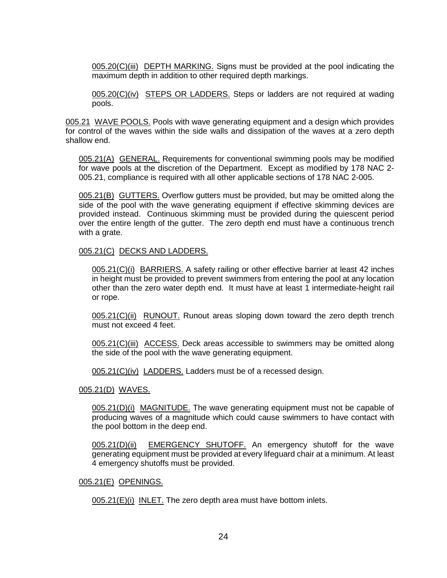005.20(C)(iii) DEPTH MARKING. Signs must be provided at the pool indicating the maximum depth in addition to other required depth markings.

005.20(C)(iv) STEPS OR LADDERS. Steps or ladders are not required at wading pools.

005.21 WAVE POOLS. Pools with wave generating equipment and a design which provides for control of the waves within the side walls and dissipation of the waves at a zero depth shallow end.

005.21(A) GENERAL. Requirements for conventional swimming pools may be modified for wave pools at the discretion of the Department. Except as modified by 178 NAC 2- 005.21, compliance is required with all other applicable sections of 178 NAC 2-005.

005.21(B) GUTTERS. Overflow gutters must be provided, but may be omitted along the side of the pool with the wave generating equipment if effective skimming devices are provided instead. Continuous skimming must be provided during the quiescent period over the entire length of the gutter. The zero depth end must have a continuous trench with a grate.

#### 005.21(C) DECKS AND LADDERS.

005.21(C)(i) BARRIERS. A safety railing or other effective barrier at least 42 inches in height must be provided to prevent swimmers from entering the pool at any location other than the zero water depth end. It must have at least 1 intermediate-height rail or rope.

005.21(C)(ii) RUNOUT. Runout areas sloping down toward the zero depth trench must not exceed 4 feet.

005.21(C)(iii) ACCESS. Deck areas accessible to swimmers may be omitted along the side of the pool with the wave generating equipment.

005.21(C)(iv) LADDERS. Ladders must be of a recessed design.

005.21(D) WAVES.

005.21(D)(i) MAGNITUDE. The wave generating equipment must not be capable of producing waves of a magnitude which could cause swimmers to have contact with the pool bottom in the deep end.

005.21(D)(ii) EMERGENCY SHUTOFF. An emergency shutoff for the wave generating equipment must be provided at every lifeguard chair at a minimum. At least 4 emergency shutoffs must be provided.

#### 005.21(E) OPENINGS.

005.21(E)(i) INLET. The zero depth area must have bottom inlets.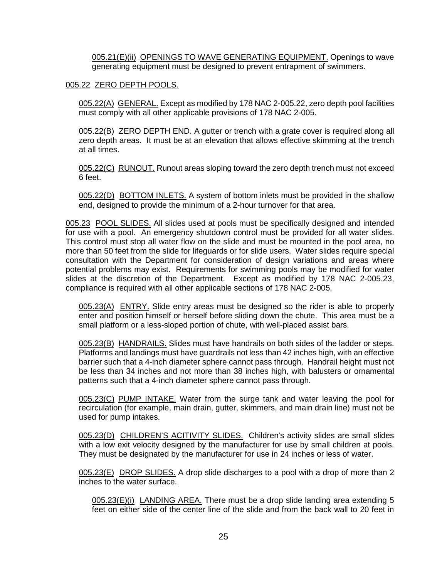005.21(E)(ii) OPENINGS TO WAVE GENERATING EQUIPMENT. Openings to wave generating equipment must be designed to prevent entrapment of swimmers.

### 005.22 ZERO DEPTH POOLS.

005.22(A) GENERAL. Except as modified by 178 NAC 2-005.22, zero depth pool facilities must comply with all other applicable provisions of 178 NAC 2-005.

005.22(B) ZERO DEPTH END. A gutter or trench with a grate cover is required along all zero depth areas. It must be at an elevation that allows effective skimming at the trench at all times.

005.22(C) RUNOUT. Runout areas sloping toward the zero depth trench must not exceed 6 feet.

005.22(D) BOTTOM INLETS. A system of bottom inlets must be provided in the shallow end, designed to provide the minimum of a 2-hour turnover for that area.

005.23 POOL SLIDES. All slides used at pools must be specifically designed and intended for use with a pool. An emergency shutdown control must be provided for all water slides. This control must stop all water flow on the slide and must be mounted in the pool area, no more than 50 feet from the slide for lifeguards or for slide users. Water slides require special consultation with the Department for consideration of design variations and areas where potential problems may exist. Requirements for swimming pools may be modified for water slides at the discretion of the Department. Except as modified by 178 NAC 2-005.23, compliance is required with all other applicable sections of 178 NAC 2-005.

005.23(A) ENTRY. Slide entry areas must be designed so the rider is able to properly enter and position himself or herself before sliding down the chute. This area must be a small platform or a less-sloped portion of chute, with well-placed assist bars.

005.23(B) HANDRAILS. Slides must have handrails on both sides of the ladder or steps. Platforms and landings must have guardrails not less than 42 inches high, with an effective barrier such that a 4-inch diameter sphere cannot pass through. Handrail height must not be less than 34 inches and not more than 38 inches high, with balusters or ornamental patterns such that a 4-inch diameter sphere cannot pass through.

005.23(C) PUMP INTAKE. Water from the surge tank and water leaving the pool for recirculation (for example, main drain, gutter, skimmers, and main drain line) must not be used for pump intakes.

005.23(D) CHILDREN'S ACITIVITY SLIDES. Children's activity slides are small slides with a low exit velocity designed by the manufacturer for use by small children at pools. They must be designated by the manufacturer for use in 24 inches or less of water.

005.23(E) DROP SLIDES. A drop slide discharges to a pool with a drop of more than 2 inches to the water surface.

 $0.05.23(E)(i)$  LANDING AREA. There must be a drop slide landing area extending 5 feet on either side of the center line of the slide and from the back wall to 20 feet in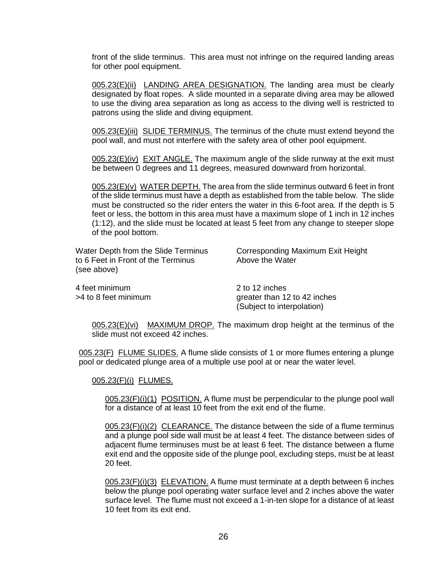front of the slide terminus. This area must not infringe on the required landing areas for other pool equipment.

005.23(E)(ii) LANDING AREA DESIGNATION. The landing area must be clearly designated by float ropes. A slide mounted in a separate diving area may be allowed to use the diving area separation as long as access to the diving well is restricted to patrons using the slide and diving equipment.

005.23(E)(iii) SLIDE TERMINUS. The terminus of the chute must extend beyond the pool wall, and must not interfere with the safety area of other pool equipment.

005.23(E)(iv) EXIT ANGLE. The maximum angle of the slide runway at the exit must be between 0 degrees and 11 degrees, measured downward from horizontal.

005.23(E)(v) WATER DEPTH. The area from the slide terminus outward 6 feet in front of the slide terminus must have a depth as established from the table below. The slide must be constructed so the rider enters the water in this 6-foot area. If the depth is 5 feet or less, the bottom in this area must have a maximum slope of 1 inch in 12 inches (1:12), and the slide must be located at least 5 feet from any change to steeper slope of the pool bottom.

to 6 Feet in Front of the Terminus Above the Water (see above)

Water Depth from the Slide Terminus Corresponding Maximum Exit Height

4 feet minimum 2 to 12 inches

>4 to 8 feet minimum greater than 12 to 42 inches (Subject to interpolation)

005.23(E)(vi) MAXIMUM DROP. The maximum drop height at the terminus of the slide must not exceed 42 inches.

005.23(F) FLUME SLIDES. A flume slide consists of 1 or more flumes entering a plunge pool or dedicated plunge area of a multiple use pool at or near the water level.

#### 005.23(F)(i) FLUMES.

005.23(F)(i)(1) POSITION. A flume must be perpendicular to the plunge pool wall for a distance of at least 10 feet from the exit end of the flume.

005.23(F)(i)(2) CLEARANCE. The distance between the side of a flume terminus and a plunge pool side wall must be at least 4 feet. The distance between sides of adjacent flume terminuses must be at least 6 feet. The distance between a flume exit end and the opposite side of the plunge pool, excluding steps, must be at least 20 feet.

005.23(F)(i)(3) ELEVATION. A flume must terminate at a depth between 6 inches below the plunge pool operating water surface level and 2 inches above the water surface level. The flume must not exceed a 1-in-ten slope for a distance of at least 10 feet from its exit end.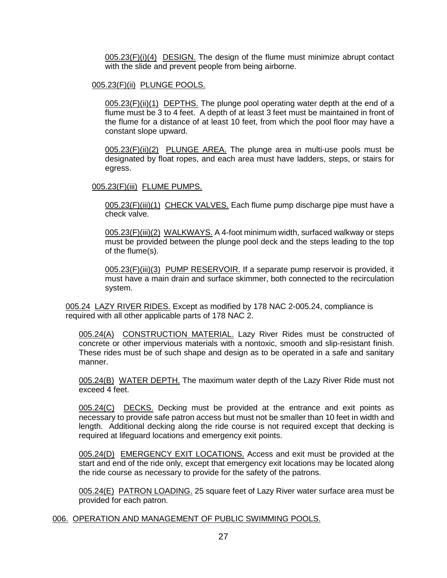005.23(F)(i)(4) DESIGN. The design of the flume must minimize abrupt contact with the slide and prevent people from being airborne.

### 005.23(F)(ii) PLUNGE POOLS.

005.23(F)(ii)(1) DEPTHS. The plunge pool operating water depth at the end of a flume must be 3 to 4 feet. A depth of at least 3 feet must be maintained in front of the flume for a distance of at least 10 feet, from which the pool floor may have a constant slope upward.

005.23(F)(ii)(2) PLUNGE AREA. The plunge area in multi-use pools must be designated by float ropes, and each area must have ladders, steps, or stairs for egress.

### 005.23(F)(iii) FLUME PUMPS.

005.23(F)(iii)(1) CHECK VALVES. Each flume pump discharge pipe must have a check valve.

005.23(F)(iii)(2) WALKWAYS. A 4-foot minimum width, surfaced walkway or steps must be provided between the plunge pool deck and the steps leading to the top of the flume(s).

005.23(F)(iii)(3) PUMP RESERVOIR. If a separate pump reservoir is provided, it must have a main drain and surface skimmer, both connected to the recirculation system.

005.24 LAZY RIVER RIDES. Except as modified by 178 NAC 2-005.24, compliance is required with all other applicable parts of 178 NAC 2.

005.24(A) CONSTRUCTION MATERIAL. Lazy River Rides must be constructed of concrete or other impervious materials with a nontoxic, smooth and slip-resistant finish. These rides must be of such shape and design as to be operated in a safe and sanitary manner.

005.24(B) WATER DEPTH. The maximum water depth of the Lazy River Ride must not exceed 4 feet.

005.24(C) DECKS. Decking must be provided at the entrance and exit points as necessary to provide safe patron access but must not be smaller than 10 feet in width and length. Additional decking along the ride course is not required except that decking is required at lifeguard locations and emergency exit points.

005.24(D) EMERGENCY EXIT LOCATIONS. Access and exit must be provided at the start and end of the ride only, except that emergency exit locations may be located along the ride course as necessary to provide for the safety of the patrons.

005.24(E) PATRON LOADING. 25 square feet of Lazy River water surface area must be provided for each patron.

### 006. OPERATION AND MANAGEMENT OF PUBLIC SWIMMING POOLS.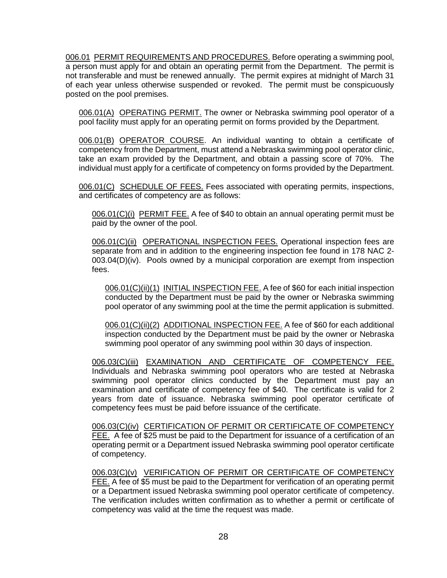006.01 PERMIT REQUIREMENTS AND PROCEDURES. Before operating a swimming pool, a person must apply for and obtain an operating permit from the Department. The permit is not transferable and must be renewed annually. The permit expires at midnight of March 31 of each year unless otherwise suspended or revoked. The permit must be conspicuously posted on the pool premises.

006.01(A) OPERATING PERMIT. The owner or Nebraska swimming pool operator of a pool facility must apply for an operating permit on forms provided by the Department.

006.01(B) OPERATOR COURSE. An individual wanting to obtain a certificate of competency from the Department, must attend a Nebraska swimming pool operator clinic, take an exam provided by the Department, and obtain a passing score of 70%. The individual must apply for a certificate of competency on forms provided by the Department.

006.01(C) SCHEDULE OF FEES. Fees associated with operating permits, inspections, and certificates of competency are as follows:

006.01(C)(i) PERMIT FEE. A fee of \$40 to obtain an annual operating permit must be paid by the owner of the pool.

006.01(C)(ii) OPERATIONAL INSPECTION FEES. Operational inspection fees are separate from and in addition to the engineering inspection fee found in 178 NAC 2- 003.04(D)(iv). Pools owned by a municipal corporation are exempt from inspection fees.

006.01(C)(ii)(1) INITIAL INSPECTION FEE. A fee of \$60 for each initial inspection conducted by the Department must be paid by the owner or Nebraska swimming pool operator of any swimming pool at the time the permit application is submitted.

006.01(C)(ii)(2) ADDITIONAL INSPECTION FEE. A fee of \$60 for each additional inspection conducted by the Department must be paid by the owner or Nebraska swimming pool operator of any swimming pool within 30 days of inspection.

006.03(C)(iii) EXAMINATION AND CERTIFICATE OF COMPETENCY FEE. Individuals and Nebraska swimming pool operators who are tested at Nebraska swimming pool operator clinics conducted by the Department must pay an examination and certificate of competency fee of \$40. The certificate is valid for 2 years from date of issuance. Nebraska swimming pool operator certificate of competency fees must be paid before issuance of the certificate.

006.03(C)(iv) CERTIFICATION OF PERMIT OR CERTIFICATE OF COMPETENCY FEE. A fee of \$25 must be paid to the Department for issuance of a certification of an operating permit or a Department issued Nebraska swimming pool operator certificate of competency.

006.03(C)(v) VERIFICATION OF PERMIT OR CERTIFICATE OF COMPETENCY FEE. A fee of \$5 must be paid to the Department for verification of an operating permit or a Department issued Nebraska swimming pool operator certificate of competency. The verification includes written confirmation as to whether a permit or certificate of competency was valid at the time the request was made.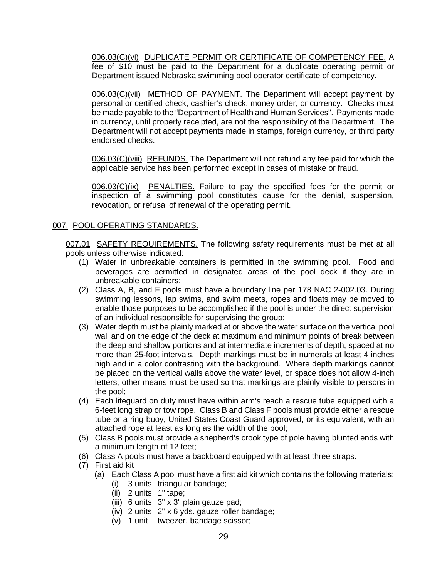006.03(C)(vi) DUPLICATE PERMIT OR CERTIFICATE OF COMPETENCY FEE. A fee of \$10 must be paid to the Department for a duplicate operating permit or Department issued Nebraska swimming pool operator certificate of competency.

006.03(C)(vii) METHOD OF PAYMENT. The Department will accept payment by personal or certified check, cashier's check, money order, or currency. Checks must be made payable to the "Department of Health and Human Services". Payments made in currency, until properly receipted, are not the responsibility of the Department. The Department will not accept payments made in stamps, foreign currency, or third party endorsed checks.

006.03(C)(viii) REFUNDS. The Department will not refund any fee paid for which the applicable service has been performed except in cases of mistake or fraud.

006.03(C)(ix) PENALTIES. Failure to pay the specified fees for the permit or inspection of a swimming pool constitutes cause for the denial, suspension, revocation, or refusal of renewal of the operating permit.

## 007. POOL OPERATING STANDARDS.

007.01 SAFETY REQUIREMENTS. The following safety requirements must be met at all pools unless otherwise indicated:

- (1) Water in unbreakable containers is permitted in the swimming pool. Food and beverages are permitted in designated areas of the pool deck if they are in unbreakable containers;
- (2) Class A, B, and F pools must have a boundary line per 178 NAC 2-002.03. During swimming lessons, lap swims, and swim meets, ropes and floats may be moved to enable those purposes to be accomplished if the pool is under the direct supervision of an individual responsible for supervising the group;
- (3) Water depth must be plainly marked at or above the water surface on the vertical pool wall and on the edge of the deck at maximum and minimum points of break between the deep and shallow portions and at intermediate increments of depth, spaced at no more than 25-foot intervals. Depth markings must be in numerals at least 4 inches high and in a color contrasting with the background. Where depth markings cannot be placed on the vertical walls above the water level, or space does not allow 4-inch letters, other means must be used so that markings are plainly visible to persons in the pool;
- (4) Each lifeguard on duty must have within arm's reach a rescue tube equipped with a 6-feet long strap or tow rope. Class B and Class F pools must provide either a rescue tube or a ring buoy, United States Coast Guard approved, or its equivalent, with an attached rope at least as long as the width of the pool;
- (5) Class B pools must provide a shepherd's crook type of pole having blunted ends with a minimum length of 12 feet;
- (6) Class A pools must have a backboard equipped with at least three straps.
- (7) First aid kit
	- (a) Each Class A pool must have a first aid kit which contains the following materials:
		- (i) 3 units triangular bandage;
		- $(ii)$  2 units 1" tape;
		- (iii) 6 units 3" x 3" plain gauze pad;
		- (iv) 2 units 2" x 6 yds. gauze roller bandage;
		- (v) 1 unit tweezer, bandage scissor;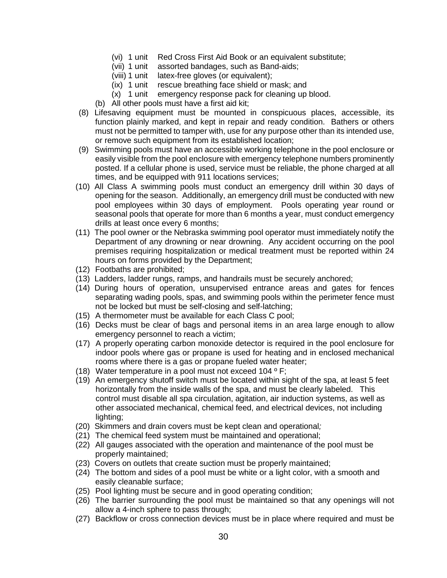- (vi) 1 unit Red Cross First Aid Book or an equivalent substitute;
- (vii) 1 unit assorted bandages, such as Band-aids;
- (viii) 1 unit latex-free gloves (or equivalent);
- (ix) 1 unit rescue breathing face shield or mask; and
- (x) 1 unit emergency response pack for cleaning up blood.
- (b) All other pools must have a first aid kit;
- (8) Lifesaving equipment must be mounted in conspicuous places, accessible, its function plainly marked, and kept in repair and ready condition. Bathers or others must not be permitted to tamper with, use for any purpose other than its intended use, or remove such equipment from its established location;
- (9) Swimming pools must have an accessible working telephone in the pool enclosure or easily visible from the pool enclosure with emergency telephone numbers prominently posted. If a cellular phone is used, service must be reliable, the phone charged at all times, and be equipped with 911 locations services;
- (10) All Class A swimming pools must conduct an emergency drill within 30 days of opening for the season. Additionally, an emergency drill must be conducted with new pool employees within 30 days of employment. Pools operating year round or seasonal pools that operate for more than 6 months a year, must conduct emergency drills at least once every 6 months;
- (11) The pool owner or the Nebraska swimming pool operator must immediately notify the Department of any drowning or near drowning. Any accident occurring on the pool premises requiring hospitalization or medical treatment must be reported within 24 hours on forms provided by the Department;
- (12) Footbaths are prohibited;
- (13) Ladders, ladder rungs, ramps, and handrails must be securely anchored;
- (14) During hours of operation, unsupervised entrance areas and gates for fences separating wading pools, spas, and swimming pools within the perimeter fence must not be locked but must be self-closing and self-latching;
- (15) A thermometer must be available for each Class C pool;
- (16) Decks must be clear of bags and personal items in an area large enough to allow emergency personnel to reach a victim;
- (17) A properly operating carbon monoxide detector is required in the pool enclosure for indoor pools where gas or propane is used for heating and in enclosed mechanical rooms where there is a gas or propane fueled water heater;
- (18) Water temperature in a pool must not exceed 104  $\degree$  F;
- (19) An emergency shutoff switch must be located within sight of the spa, at least 5 feet horizontally from the inside walls of the spa, and must be clearly labeled.This control must disable all spa circulation, agitation, air induction systems, as well as other associated mechanical, chemical feed, and electrical devices, not including lighting;
- (20) Skimmers and drain covers must be kept clean and operational*;*
- (21) The chemical feed system must be maintained and operational;
- (22) All gauges associated with the operation and maintenance of the pool must be properly maintained;
- (23) Covers on outlets that create suction must be properly maintained;
- (24) The bottom and sides of a pool must be white or a light color, with a smooth and easily cleanable surface;
- (25) Pool lighting must be secure and in good operating condition;
- (26) The barrier surrounding the pool must be maintained so that any openings will not allow a 4-inch sphere to pass through;
- (27) Backflow or cross connection devices must be in place where required and must be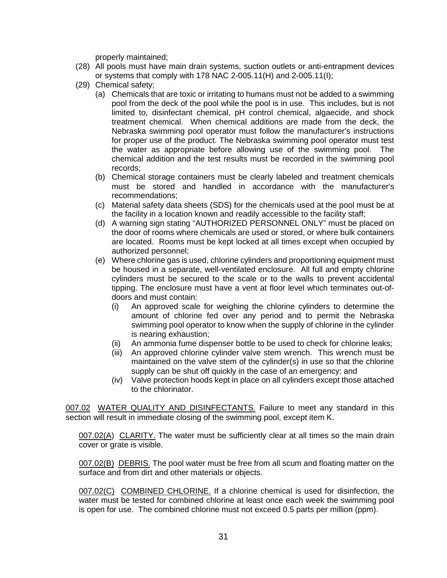properly maintained;

- (28) All pools must have main drain systems, suction outlets or anti-entrapment devices or systems that comply with 178 NAC 2-005.11(H) and 2-005.11(I);
- (29) Chemical safety;
	- (a) Chemicals that are toxic or irritating to humans must not be added to a swimming pool from the deck of the pool while the pool is in use. This includes, but is not limited to, disinfectant chemical, pH control chemical, algaecide, and shock treatment chemical. When chemical additions are made from the deck, the Nebraska swimming pool operator must follow the manufacturer's instructions for proper use of the product. The Nebraska swimming pool operator must test the water as appropriate before allowing use of the swimming pool. The chemical addition and the test results must be recorded in the swimming pool records;
	- (b) Chemical storage containers must be clearly labeled and treatment chemicals must be stored and handled in accordance with the manufacturer's recommendations;
	- (c) Material safety data sheets (SDS) for the chemicals used at the pool must be at the facility in a location known and readily accessible to the facility staff;
	- (d) A warning sign stating "AUTHORIZED PERSONNEL ONLY" must be placed on the door of rooms where chemicals are used or stored, or where bulk containers are located. Rooms must be kept locked at all times except when occupied by authorized personnel;
	- (e) Where chlorine gas is used, chlorine cylinders and proportioning equipment must be housed in a separate, well-ventilated enclosure. All full and empty chlorine cylinders must be secured to the scale or to the walls to prevent accidental tipping. The enclosure must have a vent at floor level which terminates out-ofdoors and must contain:
		- (i) An approved scale for weighing the chlorine cylinders to determine the amount of chlorine fed over any period and to permit the Nebraska swimming pool operator to know when the supply of chlorine in the cylinder is nearing exhaustion;
		- (ii) An ammonia fume dispenser bottle to be used to check for chlorine leaks;
		- (iii) An approved chlorine cylinder valve stem wrench. This wrench must be maintained on the valve stem of the cylinder(s) in use so that the chlorine supply can be shut off quickly in the case of an emergency; and
		- (iv) Valve protection hoods kept in place on all cylinders except those attached to the chlorinator.

007.02 WATER QUALITY AND DISINFECTANTS. Failure to meet any standard in this section will result in immediate closing of the swimming pool, except item K.

007.02(A) CLARITY. The water must be sufficiently clear at all times so the main drain cover or grate is visible.

007.02(B) DEBRIS. The pool water must be free from all scum and floating matter on the surface and from dirt and other materials or objects.

007.02(C) COMBINED CHLORINE. If a chlorine chemical is used for disinfection, the water must be tested for combined chlorine at least once each week the swimming pool is open for use. The combined chlorine must not exceed 0.5 parts per million (ppm).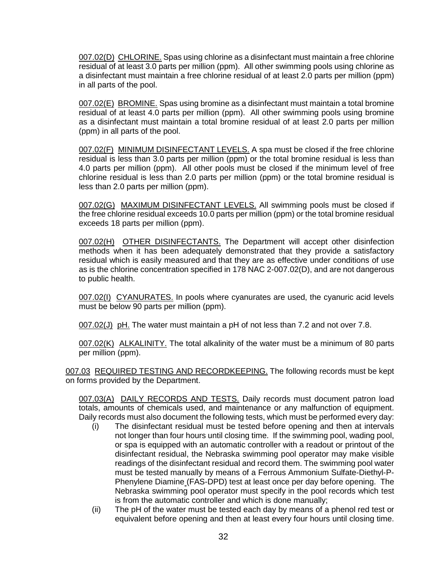007.02(D) CHLORINE. Spas using chlorine as a disinfectant must maintain a free chlorine residual of at least 3.0 parts per million (ppm). All other swimming pools using chlorine as a disinfectant must maintain a free chlorine residual of at least 2.0 parts per million (ppm) in all parts of the pool.

007.02(E) BROMINE. Spas using bromine as a disinfectant must maintain a total bromine residual of at least 4.0 parts per million (ppm). All other swimming pools using bromine as a disinfectant must maintain a total bromine residual of at least 2.0 parts per million (ppm) in all parts of the pool.

007.02(F) MINIMUM DISINFECTANT LEVELS. A spa must be closed if the free chlorine residual is less than 3.0 parts per million (ppm) or the total bromine residual is less than 4.0 parts per million (ppm). All other pools must be closed if the minimum level of free chlorine residual is less than 2.0 parts per million (ppm) or the total bromine residual is less than 2.0 parts per million (ppm).

007.02(G) MAXIMUM DISINFECTANT LEVELS. All swimming pools must be closed if the free chlorine residual exceeds 10.0 parts per million (ppm) or the total bromine residual exceeds 18 parts per million (ppm).

007.02(H) OTHER DISINFECTANTS. The Department will accept other disinfection methods when it has been adequately demonstrated that they provide a satisfactory residual which is easily measured and that they are as effective under conditions of use as is the chlorine concentration specified in 178 NAC 2-007.02(D), and are not dangerous to public health.

007.02(I) CYANURATES. In pools where cyanurates are used, the cyanuric acid levels must be below 90 parts per million (ppm).

007.02(J) pH. The water must maintain a pH of not less than 7.2 and not over 7.8.

007.02(K) ALKALINITY. The total alkalinity of the water must be a minimum of 80 parts per million (ppm).

007.03 REQUIRED TESTING AND RECORDKEEPING. The following records must be kept on forms provided by the Department.

007.03(A) DAILY RECORDS AND TESTS. Daily records must document patron load totals, amounts of chemicals used, and maintenance or any malfunction of equipment. Daily records must also document the following tests, which must be performed every day:

- (i) The disinfectant residual must be tested before opening and then at intervals not longer than four hours until closing time. If the swimming pool, wading pool, or spa is equipped with an automatic controller with a readout or printout of the disinfectant residual, the Nebraska swimming pool operator may make visible readings of the disinfectant residual and record them. The swimming pool water must be tested manually by means of a Ferrous Ammonium Sulfate-Diethyl-P-Phenylene Diamine (FAS-DPD) test at least once per day before opening. The Nebraska swimming pool operator must specify in the pool records which test is from the automatic controller and which is done manually;
- (ii) The pH of the water must be tested each day by means of a phenol red test or equivalent before opening and then at least every four hours until closing time.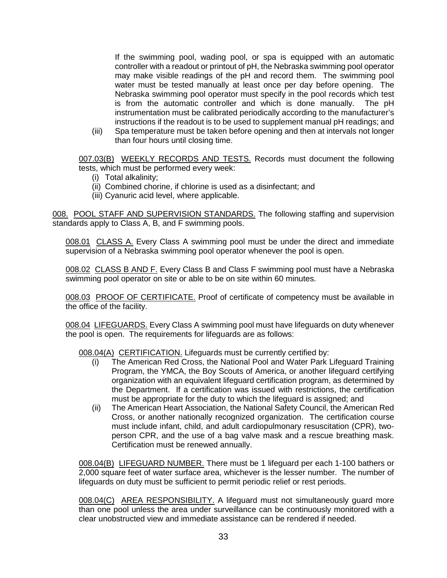If the swimming pool, wading pool, or spa is equipped with an automatic controller with a readout or printout of pH, the Nebraska swimming pool operator may make visible readings of the pH and record them. The swimming pool water must be tested manually at least once per day before opening. The Nebraska swimming pool operator must specify in the pool records which test is from the automatic controller and which is done manually. The pH instrumentation must be calibrated periodically according to the manufacturer's instructions if the readout is to be used to supplement manual pH readings; and

(iii) Spa temperature must be taken before opening and then at intervals not longer than four hours until closing time.

007.03(B) WEEKLY RECORDS AND TESTS. Records must document the following tests, which must be performed every week:

- (i) Total alkalinity;
- (ii) Combined chorine, if chlorine is used as a disinfectant; and
- (iii) Cyanuric acid level, where applicable.

008. POOL STAFF AND SUPERVISION STANDARDS. The following staffing and supervision standards apply to Class A, B, and F swimming pools.

008.01 CLASS A. Every Class A swimming pool must be under the direct and immediate supervision of a Nebraska swimming pool operator whenever the pool is open.

008.02 CLASS B AND F. Every Class B and Class F swimming pool must have a Nebraska swimming pool operator on site or able to be on site within 60 minutes.

008.03 PROOF OF CERTIFICATE. Proof of certificate of competency must be available in the office of the facility.

008.04 LIFEGUARDS. Every Class A swimming pool must have lifeguards on duty whenever the pool is open. The requirements for lifeguards are as follows:

008.04(A) CERTIFICATION. Lifeguards must be currently certified by:

- (i) The American Red Cross, the National Pool and Water Park Lifeguard Training Program, the YMCA, the Boy Scouts of America, or another lifeguard certifying organization with an equivalent lifeguard certification program, as determined by the Department. If a certification was issued with restrictions, the certification must be appropriate for the duty to which the lifeguard is assigned; and
- (ii) The American Heart Association, the National Safety Council, the American Red Cross, or another nationally recognized organization. The certification course must include infant, child, and adult cardiopulmonary resuscitation (CPR), twoperson CPR, and the use of a bag valve mask and a rescue breathing mask. Certification must be renewed annually.

008.04(B) LIFEGUARD NUMBER. There must be 1 lifeguard per each 1-100 bathers or 2,000 square feet of water surface area, whichever is the lesser number. The number of lifeguards on duty must be sufficient to permit periodic relief or rest periods.

008.04(C) AREA RESPONSIBILITY. A lifeguard must not simultaneously guard more than one pool unless the area under surveillance can be continuously monitored with a clear unobstructed view and immediate assistance can be rendered if needed.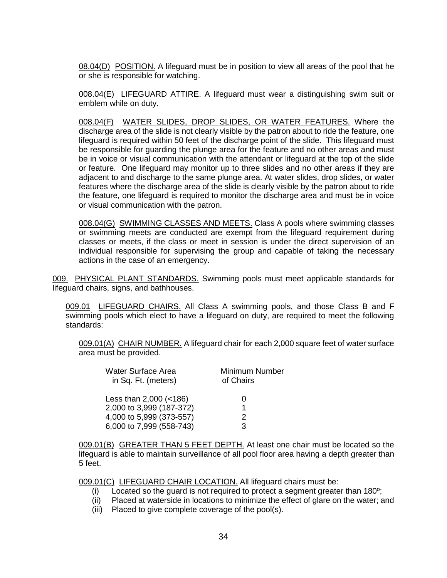08.04(D) POSITION. A lifeguard must be in position to view all areas of the pool that he or she is responsible for watching.

008.04(E) LIFEGUARD ATTIRE. A lifeguard must wear a distinguishing swim suit or emblem while on duty.

008.04(F) WATER SLIDES, DROP SLIDES, OR WATER FEATURES. Where the discharge area of the slide is not clearly visible by the patron about to ride the feature, one lifeguard is required within 50 feet of the discharge point of the slide. This lifeguard must be responsible for guarding the plunge area for the feature and no other areas and must be in voice or visual communication with the attendant or lifeguard at the top of the slide or feature. One lifeguard may monitor up to three slides and no other areas if they are adjacent to and discharge to the same plunge area. At water slides, drop slides, or water features where the discharge area of the slide is clearly visible by the patron about to ride the feature, one lifeguard is required to monitor the discharge area and must be in voice or visual communication with the patron.

008.04(G) SWIMMING CLASSES AND MEETS. Class A pools where swimming classes or swimming meets are conducted are exempt from the lifeguard requirement during classes or meets, if the class or meet in session is under the direct supervision of an individual responsible for supervising the group and capable of taking the necessary actions in the case of an emergency.

009. PHYSICAL PLANT STANDARDS. Swimming pools must meet applicable standards for lifeguard chairs, signs, and bathhouses.

009.01 LIFEGUARD CHAIRS. All Class A swimming pools, and those Class B and F swimming pools which elect to have a lifeguard on duty, are required to meet the following standards:

009.01(A) CHAIR NUMBER. A lifeguard chair for each 2,000 square feet of water surface area must be provided.

| Water Surface Area<br>in Sq. Ft. (meters) | Minimum Number<br>of Chairs |  |  |
|-------------------------------------------|-----------------------------|--|--|
| Less than 2,000 (<186)                    | 0                           |  |  |
| 2,000 to 3,999 (187-372)                  |                             |  |  |
| 4,000 to 5,999 (373-557)                  | 2                           |  |  |
| 6,000 to 7,999 (558-743)                  | З                           |  |  |

009.01(B) GREATER THAN 5 FEET DEPTH. At least one chair must be located so the lifeguard is able to maintain surveillance of all pool floor area having a depth greater than 5 feet.

009.01(C) LIFEGUARD CHAIR LOCATION. All lifeguard chairs must be:

- (i) Located so the guard is not required to protect a segment greater than 180º;
- (ii) Placed at waterside in locations to minimize the effect of glare on the water; and
- (iii) Placed to give complete coverage of the pool(s).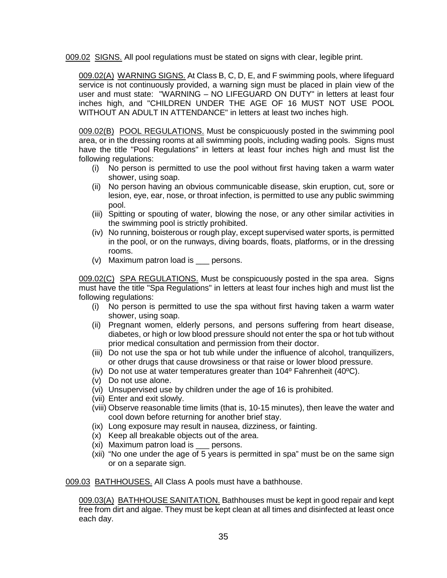009.02 SIGNS. All pool regulations must be stated on signs with clear, legible print.

009.02(A) WARNING SIGNS. At Class B, C, D, E, and F swimming pools, where lifeguard service is not continuously provided, a warning sign must be placed in plain view of the user and must state: "WARNING – NO LIFEGUARD ON DUTY" in letters at least four inches high, and "CHILDREN UNDER THE AGE OF 16 MUST NOT USE POOL WITHOUT AN ADULT IN ATTENDANCE" in letters at least two inches high.

009.02(B) POOL REGULATIONS. Must be conspicuously posted in the swimming pool area, or in the dressing rooms at all swimming pools, including wading pools. Signs must have the title "Pool Regulations" in letters at least four inches high and must list the following regulations:

- (i) No person is permitted to use the pool without first having taken a warm water shower, using soap.
- (ii) No person having an obvious communicable disease, skin eruption, cut, sore or lesion, eye, ear, nose, or throat infection, is permitted to use any public swimming pool.
- (iii) Spitting or spouting of water, blowing the nose, or any other similar activities in the swimming pool is strictly prohibited.
- (iv) No running, boisterous or rough play, except supervised water sports, is permitted in the pool, or on the runways, diving boards, floats, platforms, or in the dressing rooms.
- (v) Maximum patron load is \_\_\_ persons.

009.02(C) SPA REGULATIONS. Must be conspicuously posted in the spa area. Signs must have the title "Spa Regulations" in letters at least four inches high and must list the following regulations:

- (i) No person is permitted to use the spa without first having taken a warm water shower, using soap.
- (ii) Pregnant women, elderly persons, and persons suffering from heart disease, diabetes, or high or low blood pressure should not enter the spa or hot tub without prior medical consultation and permission from their doctor.
- (iii) Do not use the spa or hot tub while under the influence of alcohol, tranquilizers, or other drugs that cause drowsiness or that raise or lower blood pressure.
- (iv) Do not use at water temperatures greater than 104º Fahrenheit (40ºC).
- (v) Do not use alone.
- (vi) Unsupervised use by children under the age of 16 is prohibited.
- (vii) Enter and exit slowly.
- (viii) Observe reasonable time limits (that is, 10-15 minutes), then leave the water and cool down before returning for another brief stay.
- (ix) Long exposure may result in nausea, dizziness, or fainting.
- (x) Keep all breakable objects out of the area.
- (xi) Maximum patron load is persons.
- (xii) "No one under the age of 5 years is permitted in spa" must be on the same sign or on a separate sign.

009.03 BATHHOUSES. All Class A pools must have a bathhouse.

009.03(A) BATHHOUSE SANITATION. Bathhouses must be kept in good repair and kept free from dirt and algae. They must be kept clean at all times and disinfected at least once each day.